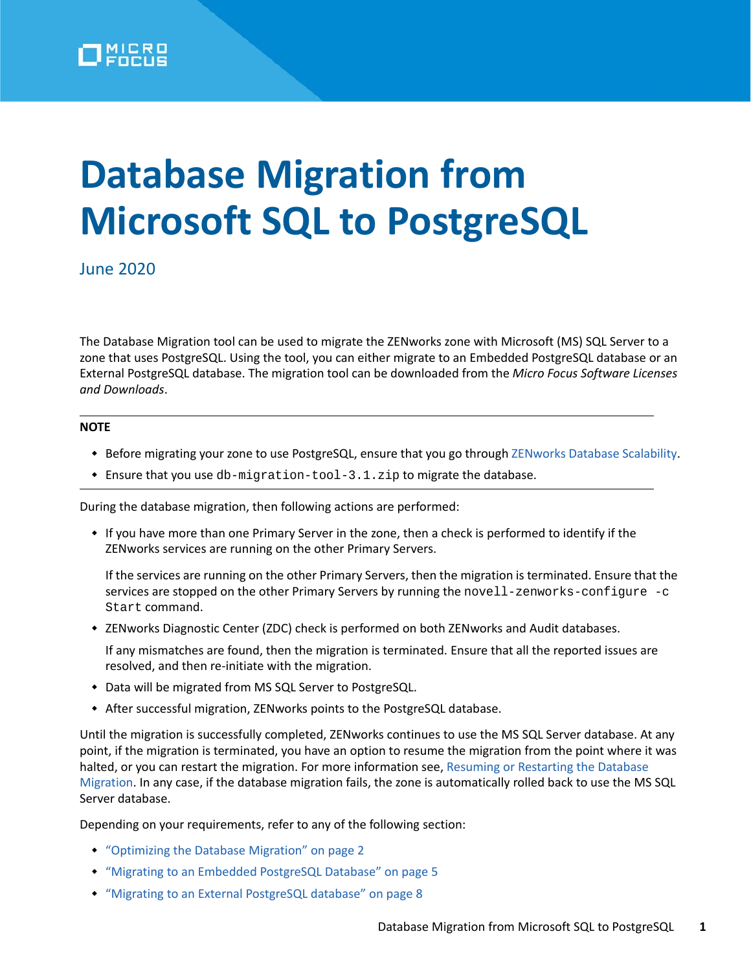

# **Database Migration from Microsoft SQL to PostgreSQL**

June 2020

The Database Migration tool can be used to migrate the ZENworks zone with Microsoft (MS) SQL Server to a zone that uses PostgreSQL. Using the tool, you can either migrate to an Embedded PostgreSQL database or an External PostgreSQL database. The migration tool can be downloaded from the *Micro Focus Software Licenses and Downloads*.

#### **NOTE**

- Before migrating your zone to use PostgreSQL, ensure that you go through [ZENworks Database Scalability](https://www.novell.com/documentation/zenworks-2020/zen_cm_deployment_bp/data/b1ablwps.html).
- $\bullet$  Ensure that you use db-migration-tool-3.1.zip to migrate the database.

During the database migration, then following actions are performed:

 If you have more than one Primary Server in the zone, then a check is performed to identify if the ZENworks services are running on the other Primary Servers.

If the services are running on the other Primary Servers, then the migration is terminated. Ensure that the services are stopped on the other Primary Servers by running the novell-zenworks-configure -c Start command.

\* ZENworks Diagnostic Center (ZDC) check is performed on both ZENworks and Audit databases.

If any mismatches are found, then the migration is terminated. Ensure that all the reported issues are resolved, and then re-initiate with the migration.

- Data will be migrated from MS SQL Server to PostgreSQL.
- After successful migration, ZENworks points to the PostgreSQL database.

Until the migration is successfully completed, ZENworks continues to use the MS SQL Server database. At any point, if the migration is terminated, you have an option to resume the migration from the point where it was halted, or you can restart the migration. For more information see, [Resuming or Restarting the Database](#page-31-0)  [Migration.](#page-31-0) In any case, if the database migration fails, the zone is automatically rolled back to use the MS SQL Server database.

Depending on your requirements, refer to any of the following section:

- ["Optimizing the Database Migration" on page 2](#page-1-0)
- ["Migrating to an Embedded PostgreSQL Database" on page 5](#page-4-0)
- ["Migrating to an External PostgreSQL database" on page 8](#page-7-0)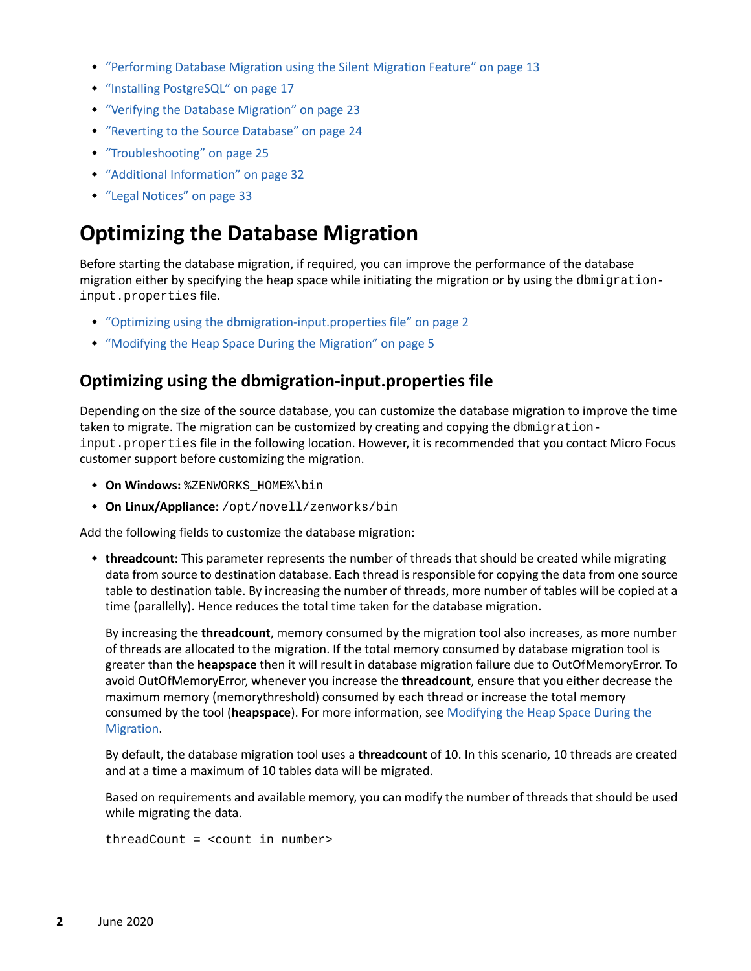- ["Performing Database Migration using the Silent Migration Feature" on page 13](#page-12-0)
- ["Installing PostgreSQL" on page 17](#page-16-0)
- ["Verifying the Database Migration" on page 23](#page-22-0)
- ["Reverting to the Source Database" on page 24](#page-23-0)
- ["Troubleshooting" on page 25](#page-24-0)
- ["Additional Information" on page 32](#page-31-1)
- ["Legal Notices" on page 33](#page-32-0)

# <span id="page-1-0"></span>**Optimizing the Database Migration**

Before starting the database migration, if required, you can improve the performance of the database migration either by specifying the heap space while initiating the migration or by using the dbmigrationinput.properties file.

- ["Optimizing using the dbmigration-input.properties file" on page 2](#page-1-1)
- ["Modifying the Heap Space During the Migration" on page 5](#page-4-1)

## <span id="page-1-1"></span>**Optimizing using the dbmigration-input.properties file**

Depending on the size of the source database, you can customize the database migration to improve the time taken to migrate. The migration can be customized by creating and copying the dbmigrationinput.properties file in the following location. However, it is recommended that you contact Micro Focus customer support before customizing the migration.

- $\bullet$  **On Windows:**  & ZENWORKS HOME & \bin
- **On Linux/Appliance:** /opt/novell/zenworks/bin

Add the following fields to customize the database migration:

 **threadcount:** This parameter represents the number of threads that should be created while migrating data from source to destination database. Each thread is responsible for copying the data from one source table to destination table. By increasing the number of threads, more number of tables will be copied at a time (parallelly). Hence reduces the total time taken for the database migration.

By increasing the **threadcount**, memory consumed by the migration tool also increases, as more number of threads are allocated to the migration. If the total memory consumed by database migration tool is greater than the **heapspace** then it will result in database migration failure due to OutOfMemoryError. To avoid OutOfMemoryError, whenever you increase the **threadcount**, ensure that you either decrease the maximum memory (memorythreshold) consumed by each thread or increase the total memory consumed by the tool (**heapspace**). For more information, see [Modifying the Heap Space During the](#page-4-1)  [Migration.](#page-4-1)

By default, the database migration tool uses a **threadcount** of 10. In this scenario, 10 threads are created and at a time a maximum of 10 tables data will be migrated.

Based on requirements and available memory, you can modify the number of threads that should be used while migrating the data.

```
threadCount = <count in number>
```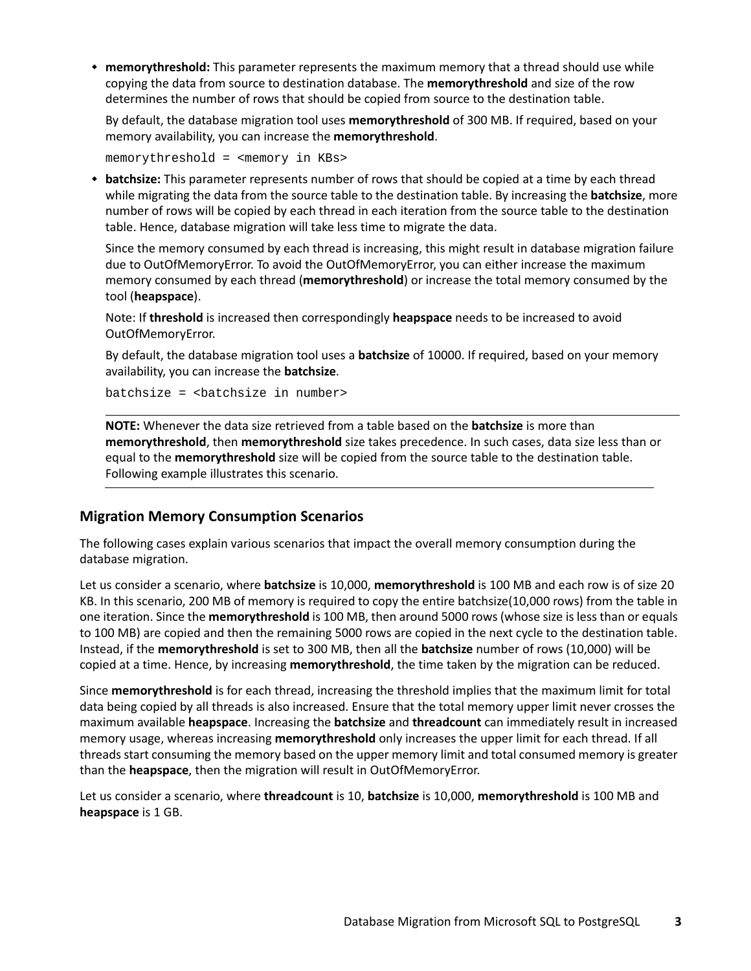**memorythreshold:** This parameter represents the maximum memory that a thread should use while copying the data from source to destination database. The **memorythreshold** and size of the row determines the number of rows that should be copied from source to the destination table.

By default, the database migration tool uses **memorythreshold** of 300 MB. If required, based on your memory availability, you can increase the **memorythreshold**.

memorythreshold = <memory in KBs>

 **batchsize:** This parameter represents number of rows that should be copied at a time by each thread while migrating the data from the source table to the destination table. By increasing the **batchsize**, more number of rows will be copied by each thread in each iteration from the source table to the destination table. Hence, database migration will take less time to migrate the data.

Since the memory consumed by each thread is increasing, this might result in database migration failure due to OutOfMemoryError. To avoid the OutOfMemoryError, you can either increase the maximum memory consumed by each thread (**memorythreshold**) or increase the total memory consumed by the tool (**heapspace**).

Note: If **threshold** is increased then correspondingly **heapspace** needs to be increased to avoid OutOfMemoryError.

By default, the database migration tool uses a **batchsize** of 10000. If required, based on your memory availability, you can increase the **batchsize**.

batchsize = <batchsize in number>

**NOTE:** Whenever the data size retrieved from a table based on the **batchsize** is more than **memorythreshold**, then **memorythreshold** size takes precedence. In such cases, data size less than or equal to the **memorythreshold** size will be copied from the source table to the destination table. Following example illustrates this scenario.

#### **Migration Memory Consumption Scenarios**

The following cases explain various scenarios that impact the overall memory consumption during the database migration.

Let us consider a scenario, where **batchsize** is 10,000, **memorythreshold** is 100 MB and each row is of size 20 KB. In this scenario, 200 MB of memory is required to copy the entire batchsize(10,000 rows) from the table in one iteration. Since the **memorythreshold** is 100 MB, then around 5000 rows (whose size is less than or equals to 100 MB) are copied and then the remaining 5000 rows are copied in the next cycle to the destination table. Instead, if the **memorythreshold** is set to 300 MB, then all the **batchsize** number of rows (10,000) will be copied at a time. Hence, by increasing **memorythreshold**, the time taken by the migration can be reduced.

Since **memorythreshold** is for each thread, increasing the threshold implies that the maximum limit for total data being copied by all threads is also increased. Ensure that the total memory upper limit never crosses the maximum available **heapspace**. Increasing the **batchsize** and **threadcount** can immediately result in increased memory usage, whereas increasing **memorythreshold** only increases the upper limit for each thread. If all threads start consuming the memory based on the upper memory limit and total consumed memory is greater than the **heapspace**, then the migration will result in OutOfMemoryError.

Let us consider a scenario, where **threadcount** is 10, **batchsize** is 10,000, **memorythreshold** is 100 MB and **heapspace** is 1 GB.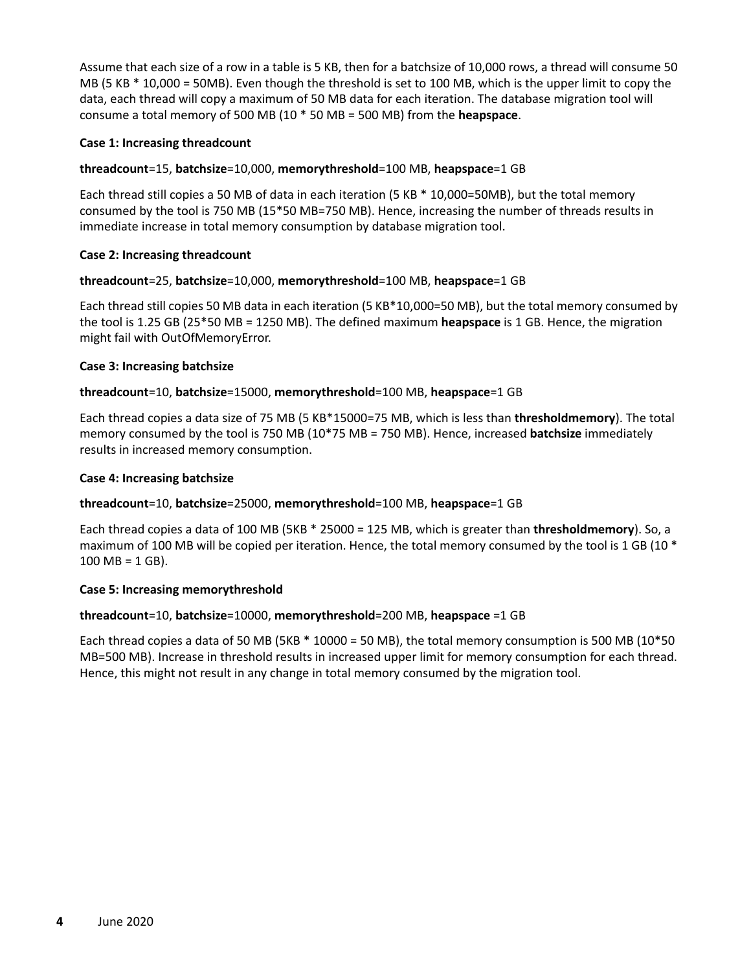Assume that each size of a row in a table is 5 KB, then for a batchsize of 10,000 rows, a thread will consume 50 MB (5 KB \* 10,000 = 50MB). Even though the threshold is set to 100 MB, which is the upper limit to copy the data, each thread will copy a maximum of 50 MB data for each iteration. The database migration tool will consume a total memory of 500 MB (10 \* 50 MB = 500 MB) from the **heapspace**.

#### **Case 1: Increasing threadcount**

#### **threadcount**=15, **batchsize**=10,000, **memorythreshold**=100 MB, **heapspace**=1 GB

Each thread still copies a 50 MB of data in each iteration (5 KB \* 10,000=50MB), but the total memory consumed by the tool is 750 MB (15\*50 MB=750 MB). Hence, increasing the number of threads results in immediate increase in total memory consumption by database migration tool.

#### **Case 2: Increasing threadcount**

#### **threadcount**=25, **batchsize**=10,000, **memorythreshold**=100 MB, **heapspace**=1 GB

Each thread still copies 50 MB data in each iteration (5 KB\*10,000=50 MB), but the total memory consumed by the tool is 1.25 GB (25\*50 MB = 1250 MB). The defined maximum **heapspace** is 1 GB. Hence, the migration might fail with OutOfMemoryError.

#### **Case 3: Increasing batchsize**

#### **threadcount**=10, **batchsize**=15000, **memorythreshold**=100 MB, **heapspace**=1 GB

Each thread copies a data size of 75 MB (5 KB\*15000=75 MB, which is less than **thresholdmemory**). The total memory consumed by the tool is 750 MB (10\*75 MB = 750 MB). Hence, increased **batchsize** immediately results in increased memory consumption.

#### **Case 4: Increasing batchsize**

#### **threadcount**=10, **batchsize**=25000, **memorythreshold**=100 MB, **heapspace**=1 GB

Each thread copies a data of 100 MB (5KB \* 25000 = 125 MB, which is greater than **thresholdmemory**). So, a maximum of 100 MB will be copied per iteration. Hence, the total memory consumed by the tool is 1 GB (10  $*$  $100 \text{ MB} = 1 \text{ GB}$ .

#### **Case 5: Increasing memorythreshold**

#### **threadcount**=10, **batchsize**=10000, **memorythreshold**=200 MB, **heapspace** =1 GB

Each thread copies a data of 50 MB (5KB \* 10000 = 50 MB), the total memory consumption is 500 MB (10\*50 MB=500 MB). Increase in threshold results in increased upper limit for memory consumption for each thread. Hence, this might not result in any change in total memory consumed by the migration tool.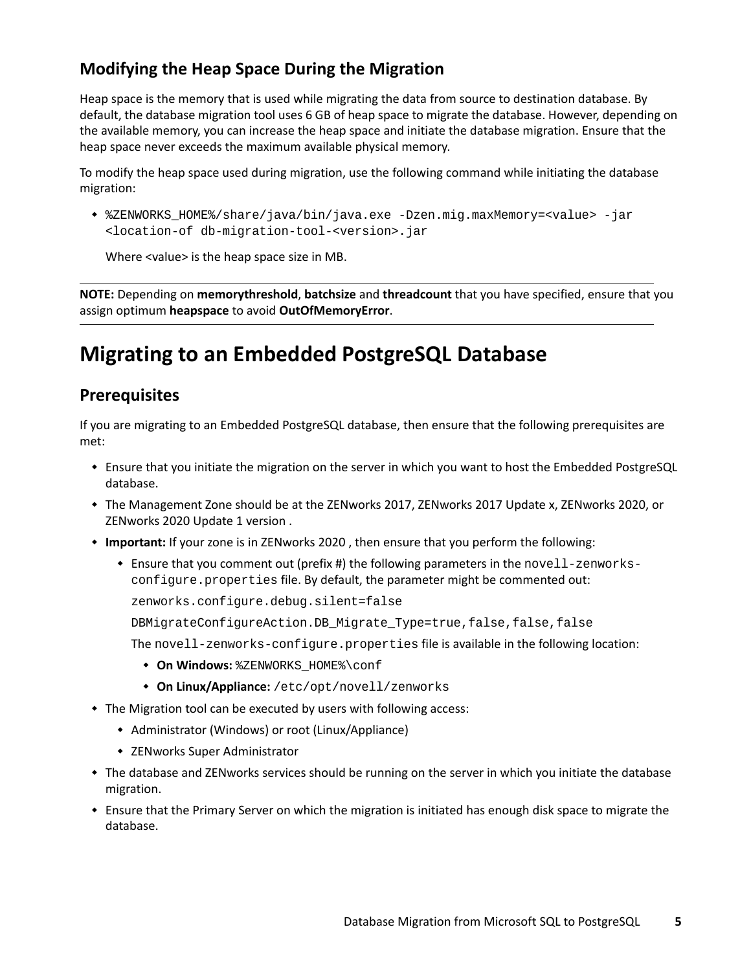# <span id="page-4-1"></span>**Modifying the Heap Space During the Migration**

Heap space is the memory that is used while migrating the data from source to destination database. By default, the database migration tool uses 6 GB of heap space to migrate the database. However, depending on the available memory, you can increase the heap space and initiate the database migration. Ensure that the heap space never exceeds the maximum available physical memory.

To modify the heap space used during migration, use the following command while initiating the database migration:

 %ZENWORKS\_HOME%/share/java/bin/java.exe -Dzen.mig.maxMemory=<value> -jar <location-of db-migration-tool-<version>.jar

Where <value> is the heap space size in MB.

**NOTE:** Depending on **memorythreshold**, **batchsize** and **threadcount** that you have specified, ensure that you assign optimum **heapspace** to avoid **OutOfMemoryError**.

# <span id="page-4-0"></span>**Migrating to an Embedded PostgreSQL Database**

# **Prerequisites**

If you are migrating to an Embedded PostgreSQL database, then ensure that the following prerequisites are met:

- Ensure that you initiate the migration on the server in which you want to host the Embedded PostgreSQL database.
- The Management Zone should be at the ZENworks 2017, ZENworks 2017 Update x, ZENworks 2020, or ZENworks 2020 Update 1 version .
- **Important:** If your zone is in ZENworks 2020 , then ensure that you perform the following:
	- Ensure that you comment out (prefix #) the following parameters in the novell-zenworksconfigure.properties file. By default, the parameter might be commented out:

zenworks.configure.debug.silent=false

DBMigrateConfigureAction.DB\_Migrate\_Type=true,false,false,false

The novell-zenworks-configure.properties file is available in the following location:

- $\bullet$  On Windows: *\*ZENWORKS HOME\*\conf*
- **On Linux/Appliance:** /etc/opt/novell/zenworks
- The Migration tool can be executed by users with following access:
	- Administrator (Windows) or root (Linux/Appliance)
	- ZENworks Super Administrator
- The database and ZENworks services should be running on the server in which you initiate the database migration.
- Ensure that the Primary Server on which the migration is initiated has enough disk space to migrate the database.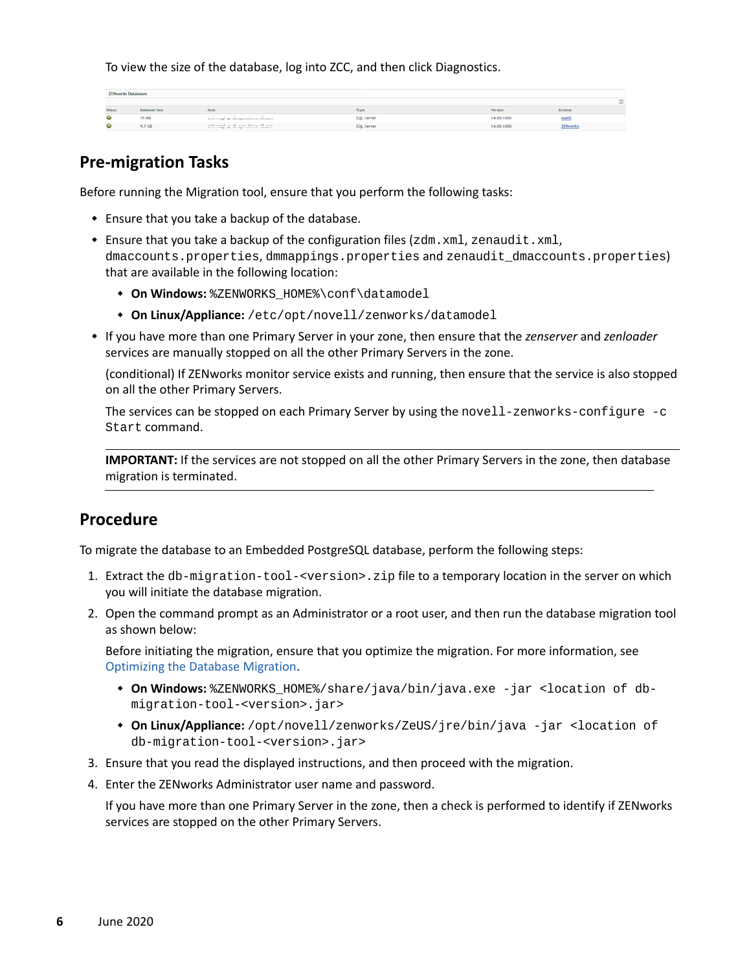To view the size of the database, log into ZCC, and then click Diagnostics.

| <b>ZENworks Databases</b> |                      |                                                                                                  |                   |            |                 |          |
|---------------------------|----------------------|--------------------------------------------------------------------------------------------------|-------------------|------------|-----------------|----------|
|                           |                      |                                                                                                  |                   |            |                 | $\infty$ |
| Statu                     | Database Size        | Host                                                                                             | Type              | Version    | Schema          |          |
|                           | 70 MB                | .<br>announce company, ango announcement and the modern company of the company of the company of | <b>SQL Server</b> | 14.00.1000 | Audit           |          |
|                           | $9.7 G$ <sup>6</sup> | and mad on the case Morecult com-<br>BILLES CORNER BY . RECEIPTION ROOM / RIGHTS                 | SQL Server        | 14.00.1000 | <b>ZENworks</b> |          |

# **Pre-migration Tasks**

Before running the Migration tool, ensure that you perform the following tasks:

- Ensure that you take a backup of the database.
- **Ensure that you take a backup of the configuration files (** $zdm$ **. xml,**  $z$ **enaudit. xml,** dmaccounts.properties, dmmappings.properties and zenaudit\_dmaccounts.properties) that are available in the following location:
	- **On Windows:** %ZENWORKS\_HOME%\conf\datamodel
	- **On Linux/Appliance:** /etc/opt/novell/zenworks/datamodel
- If you have more than one Primary Server in your zone, then ensure that the *zenserver* and *zenloader* services are manually stopped on all the other Primary Servers in the zone.

(conditional) If ZENworks monitor service exists and running, then ensure that the service is also stopped on all the other Primary Servers.

The services can be stopped on each Primary Server by using the novell-zenworks-configure -c Start command.

**IMPORTANT:** If the services are not stopped on all the other Primary Servers in the zone, then database migration is terminated.

## **Procedure**

To migrate the database to an Embedded PostgreSQL database, perform the following steps:

- 1. Extract the db-migration-tool-<version>.zip file to a temporary location in the server on which you will initiate the database migration.
- 2. Open the command prompt as an Administrator or a root user, and then run the database migration tool as shown below:

Before initiating the migration, ensure that you optimize the migration. For more information, see [Optimizing the Database Migration.](#page-1-0)

- **On Windows:** %ZENWORKS\_HOME%/share/java/bin/java.exe -jar <location of dbmigration-tool-<version>.jar>
- **On Linux/Appliance:** /opt/novell/zenworks/ZeUS/jre/bin/java -jar <location of db-migration-tool-<version>.jar>
- 3. Ensure that you read the displayed instructions, and then proceed with the migration.
- 4. Enter the ZENworks Administrator user name and password.

If you have more than one Primary Server in the zone, then a check is performed to identify if ZENworks services are stopped on the other Primary Servers.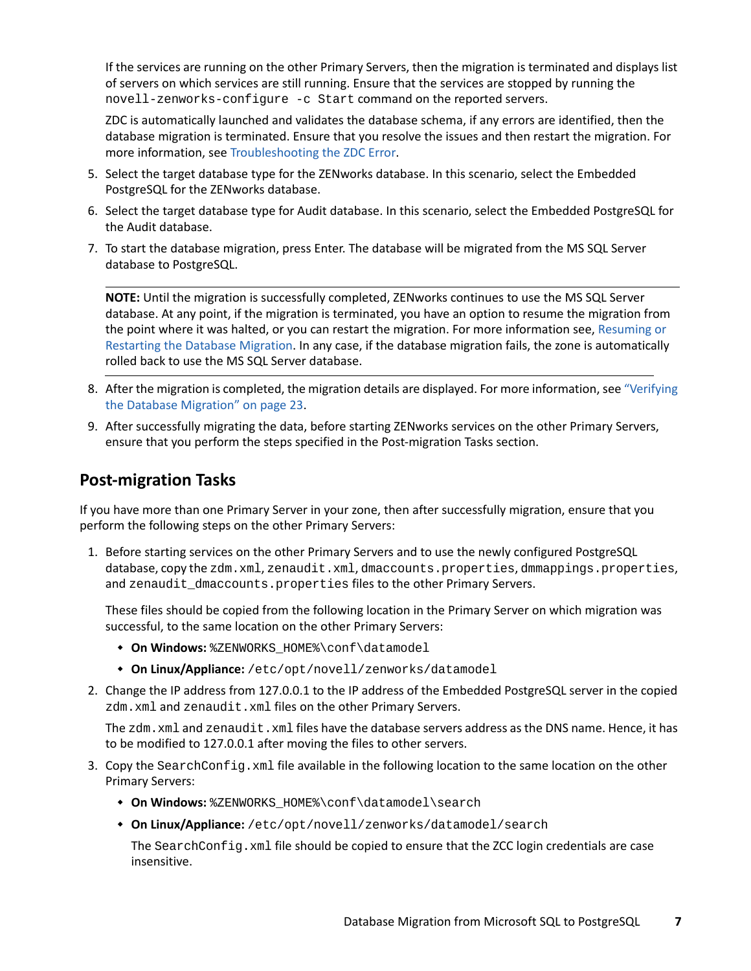If the services are running on the other Primary Servers, then the migration is terminated and displays list of servers on which services are still running. Ensure that the services are stopped by running the novell-zenworks-configure -c Start command on the reported servers.

ZDC is automatically launched and validates the database schema, if any errors are identified, then the database migration is terminated. Ensure that you resolve the issues and then restart the migration. For more information, see [Troubleshooting the ZDC Error.](#page-25-0)

- 5. Select the target database type for the ZENworks database. In this scenario, select the Embedded PostgreSQL for the ZENworks database.
- 6. Select the target database type for Audit database. In this scenario, select the Embedded PostgreSQL for the Audit database.
- 7. To start the database migration, press Enter. The database will be migrated from the MS SQL Server database to PostgreSQL.

**NOTE:** Until the migration is successfully completed, ZENworks continues to use the MS SQL Server database. At any point, if the migration is terminated, you have an option to resume the migration from the point where it was halted, or you can restart the migration. For more information see, [Resuming or](#page-31-0)  [Restarting the Database Migration.](#page-31-0) In any case, if the database migration fails, the zone is automatically rolled back to use the MS SQL Server database.

- 8. After the migration is completed, the migration details are displayed. For more information, see ["Verifying](#page-22-0)  [the Database Migration" on page 23](#page-22-0).
- 9. After successfully migrating the data, before starting ZENworks services on the other Primary Servers, ensure that you perform the steps specified in the Post-migration Tasks section.

# **Post-migration Tasks**

If you have more than one Primary Server in your zone, then after successfully migration, ensure that you perform the following steps on the other Primary Servers:

1. Before starting services on the other Primary Servers and to use the newly configured PostgreSQL database, copy the zdm.xml, zenaudit.xml, dmaccounts.properties, dmmappings.properties, and zenaudit\_dmaccounts.properties files to the other Primary Servers.

These files should be copied from the following location in the Primary Server on which migration was successful, to the same location on the other Primary Servers:

- **On Windows:** %ZENWORKS\_HOME%\conf\datamodel
- **On Linux/Appliance:** /etc/opt/novell/zenworks/datamodel
- 2. Change the IP address from 127.0.0.1 to the IP address of the Embedded PostgreSQL server in the copied zdm.xml and zenaudit.xml files on the other Primary Servers.

The zdm. xml and zenaudit. xml files have the database servers address as the DNS name. Hence, it has to be modified to 127.0.0.1 after moving the files to other servers.

- 3. Copy the SearchConfig.xml file available in the following location to the same location on the other Primary Servers:
	- **On Windows:** %ZENWORKS\_HOME%\conf\datamodel\search
	- **On Linux/Appliance:** /etc/opt/novell/zenworks/datamodel/search

The SearchConfig.xml file should be copied to ensure that the ZCC login credentials are case insensitive.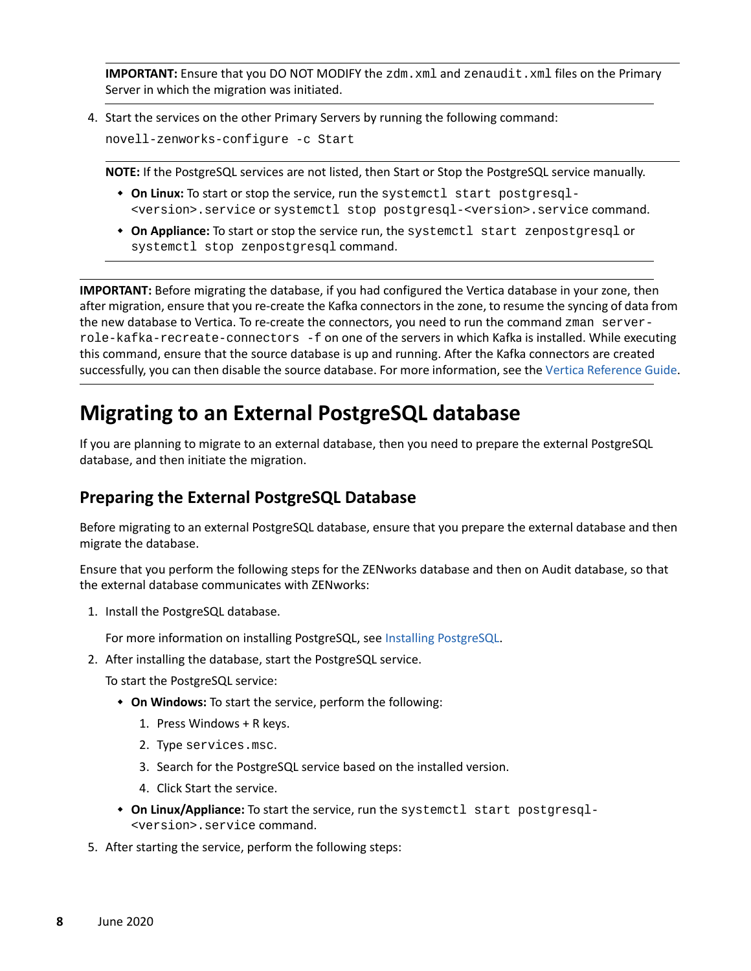**IMPORTANT:** Ensure that you DO NOT MODIFY the zdm. xml and zenaudit. xml files on the Primary Server in which the migration was initiated.

4. Start the services on the other Primary Servers by running the following command:

novell-zenworks-configure -c Start

**NOTE:** If the PostgreSQL services are not listed, then Start or Stop the PostgreSQL service manually.

- **On Linux:** To start or stop the service, run the systemctl start postgresql- <version>.service or systemctl stop postgresql-<version>.service command.
- **On Appliance:** To start or stop the service run, the systemctl start zenpostgresql or systemctl stop zenpostgresql command.

**IMPORTANT:** Before migrating the database, if you had configured the Vertica database in your zone, then after migration, ensure that you re-create the Kafka connectors in the zone, to resume the syncing of data from the new database to Vertica. To re-create the connectors, you need to run the command zman serverrole-kafka-recreate-connectors -f on one of the servers in which Kafka is installed. While executing this command, ensure that the source database is up and running. After the Kafka connectors are created successfully, you can then disable the source database. For more information, see the [Vertica Reference Guide](https://www.novell.com/documentation/zenworks-2020-update-2/pdfdoc/zen_vertica/zen_vertica.pdf#readme).

# <span id="page-7-0"></span>**Migrating to an External PostgreSQL database**

If you are planning to migrate to an external database, then you need to prepare the external PostgreSQL database, and then initiate the migration.

# <span id="page-7-1"></span>**Preparing the External PostgreSQL Database**

Before migrating to an external PostgreSQL database, ensure that you prepare the external database and then migrate the database.

Ensure that you perform the following steps for the ZENworks database and then on Audit database, so that the external database communicates with ZENworks:

1. Install the PostgreSQL database.

For more information on installing PostgreSQL, see [Installing PostgreSQL](#page-16-0).

2. After installing the database, start the PostgreSQL service.

To start the PostgreSQL service:

- **On Windows:** To start the service, perform the following:
	- 1. Press Windows + R keys.
	- 2. Type services.msc.
	- 3. Search for the PostgreSQL service based on the installed version.
	- 4. Click Start the service.
- **On Linux/Appliance:** To start the service, run the systemctl start postgresql- <version>.service command.
- 5. After starting the service, perform the following steps: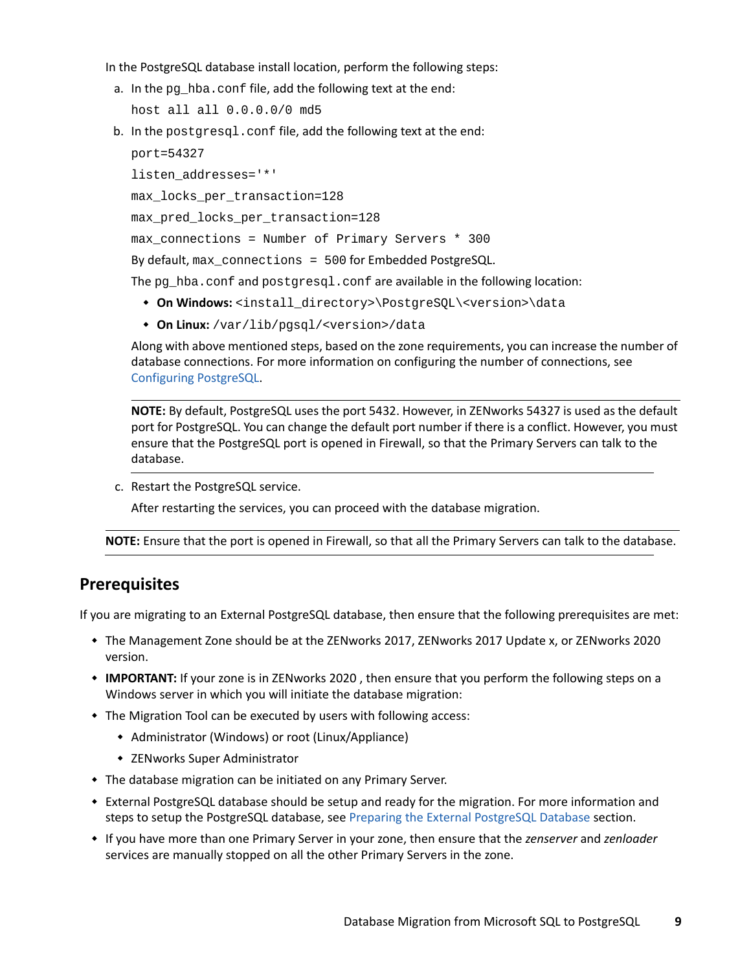In the PostgreSQL database install location, perform the following steps:

a. In the pg\_hba.conf file, add the following text at the end:

host all all 0.0.0.0/0 md5

b. In the postgresgl.conf file, add the following text at the end:

```
port=54327
listen_addresses='*'
max_locks_per_transaction=128
max_pred_locks_per_transaction=128
max connections = Number of Primary Servers * 300
By default, max_connections = 500 for Embedded PostgreSQL.
```
The pg\_hba.conf and postgresql.conf are available in the following location:

- **On Windows:** <install\_directory>\PostgreSQL\<version>\data
- **On Linux:** /var/lib/pgsql/<version>/data

Along with above mentioned steps, based on the zone requirements, you can increase the number of database connections. For more information on configuring the number of connections, see [Configuring PostgreSQL](https://www.novell.com/documentation/zenworks-2020-update-2/pdfdoc/zen_sys_db_mgmt/zen_sys_db_mgmt.pdf#t41rl5gf8qdv1).

**NOTE:** By default, PostgreSQL uses the port 5432. However, in ZENworks 54327 is used as the default port for PostgreSQL. You can change the default port number if there is a conflict. However, you must ensure that the PostgreSQL port is opened in Firewall, so that the Primary Servers can talk to the database.

c. Restart the PostgreSQL service.

After restarting the services, you can proceed with the database migration.

**NOTE:** Ensure that the port is opened in Firewall, so that all the Primary Servers can talk to the database.

#### **Prerequisites**

If you are migrating to an External PostgreSQL database, then ensure that the following prerequisites are met:

- The Management Zone should be at the ZENworks 2017, ZENworks 2017 Update x, or ZENworks 2020 version.
- **IMPORTANT:** If your zone is in ZENworks 2020 , then ensure that you perform the following steps on a Windows server in which you will initiate the database migration:
- The Migration Tool can be executed by users with following access:
	- Administrator (Windows) or root (Linux/Appliance)
	- ZENworks Super Administrator
- The database migration can be initiated on any Primary Server.
- External PostgreSQL database should be setup and ready for the migration. For more information and steps to setup the PostgreSQL database, see [Preparing the External PostgreSQL Database](#page-7-1) section.
- If you have more than one Primary Server in your zone, then ensure that the *zenserver* and *zenloader* services are manually stopped on all the other Primary Servers in the zone.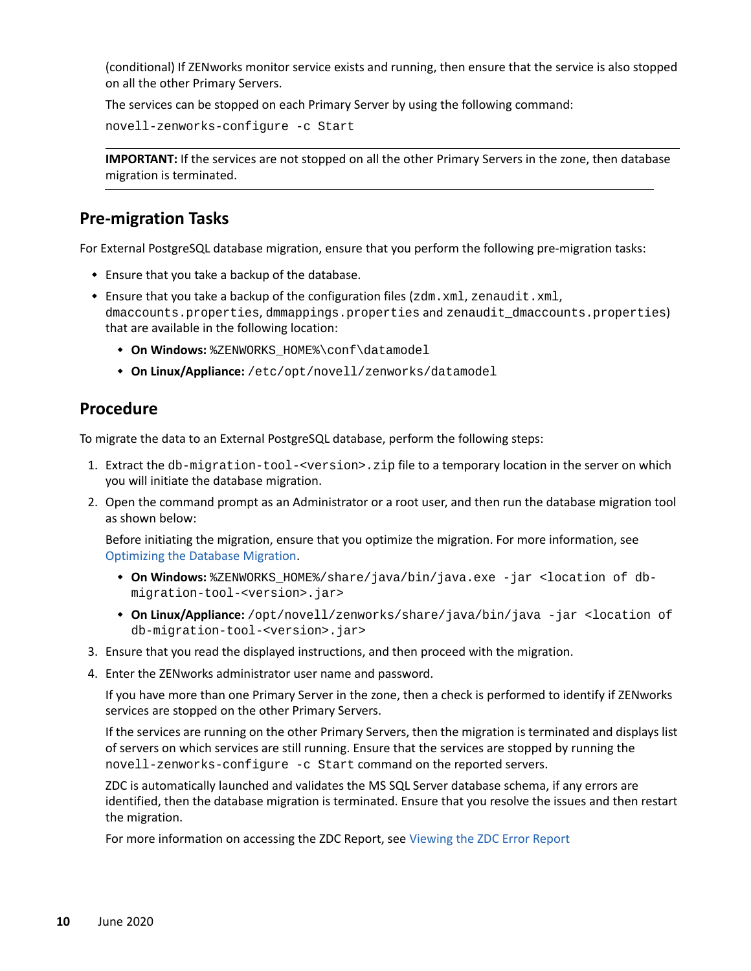(conditional) If ZENworks monitor service exists and running, then ensure that the service is also stopped on all the other Primary Servers.

The services can be stopped on each Primary Server by using the following command:

novell-zenworks-configure -c Start

**IMPORTANT:** If the services are not stopped on all the other Primary Servers in the zone, then database migration is terminated.

### **Pre-migration Tasks**

For External PostgreSQL database migration, ensure that you perform the following pre-migration tasks:

- Ensure that you take a backup of the database.
- Ensure that you take a backup of the configuration files (zdm.xml, zenaudit.xml, dmaccounts.properties, dmmappings.properties and zenaudit\_dmaccounts.properties) that are available in the following location:
	- **On Windows:** %ZENWORKS\_HOME%\conf\datamodel
	- **On Linux/Appliance:** /etc/opt/novell/zenworks/datamodel

### **Procedure**

To migrate the data to an External PostgreSQL database, perform the following steps:

- 1. Extract the db-migration-tool-<version>.zip file to a temporary location in the server on which you will initiate the database migration.
- 2. Open the command prompt as an Administrator or a root user, and then run the database migration tool as shown below:

Before initiating the migration, ensure that you optimize the migration. For more information, see [Optimizing the Database Migration.](#page-1-0)

- **On Windows:** %ZENWORKS\_HOME%/share/java/bin/java.exe -jar <location of dbmigration-tool-<version>.jar>
- **On Linux/Appliance:** /opt/novell/zenworks/share/java/bin/java -jar <location of db-migration-tool-<version>.jar>
- 3. Ensure that you read the displayed instructions, and then proceed with the migration.
- 4. Enter the ZENworks administrator user name and password.

If you have more than one Primary Server in the zone, then a check is performed to identify if ZENworks services are stopped on the other Primary Servers.

If the services are running on the other Primary Servers, then the migration is terminated and displays list of servers on which services are still running. Ensure that the services are stopped by running the novell-zenworks-configure -c Start command on the reported servers.

ZDC is automatically launched and validates the MS SQL Server database schema, if any errors are identified, then the database migration is terminated. Ensure that you resolve the issues and then restart the migration.

For more information on accessing the ZDC Report, see [Viewing the ZDC Error Report](#page-24-1)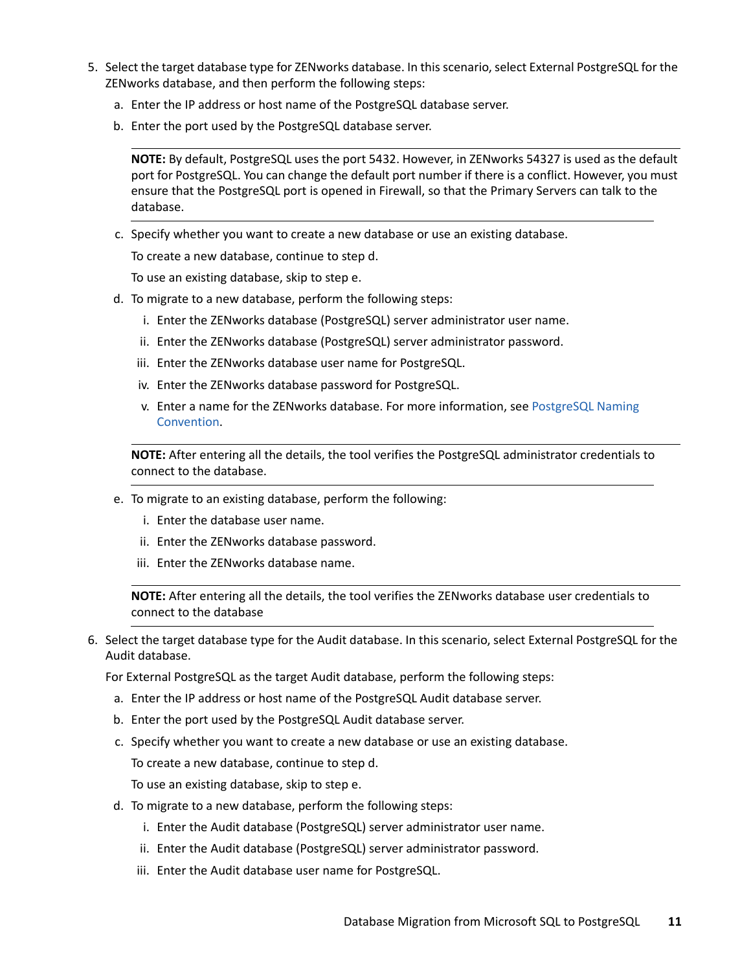- 5. Select the target database type for ZENworks database. In this scenario, select External PostgreSQL for the ZENworks database, and then perform the following steps:
	- a. Enter the IP address or host name of the PostgreSQL database server.
	- b. Enter the port used by the PostgreSQL database server.

**NOTE:** By default, PostgreSQL uses the port 5432. However, in ZENworks 54327 is used as the default port for PostgreSQL. You can change the default port number if there is a conflict. However, you must ensure that the PostgreSQL port is opened in Firewall, so that the Primary Servers can talk to the database.

c. Specify whether you want to create a new database or use an existing database.

To create a new database, continue to step d.

To use an existing database, skip to step e.

- d. To migrate to a new database, perform the following steps:
	- i. Enter the ZENworks database (PostgreSQL) server administrator user name.
	- ii. Enter the ZENworks database (PostgreSQL) server administrator password.
	- iii. Enter the ZENworks database user name for PostgreSQL.
	- iv. Enter the ZENworks database password for PostgreSQL.
	- v. Enter a name for the ZENworks database. For more information, see [PostgreSQL Naming](#page-31-2)  [Convention.](#page-31-2)

**NOTE:** After entering all the details, the tool verifies the PostgreSQL administrator credentials to connect to the database.

- e. To migrate to an existing database, perform the following:
	- i. Enter the database user name.
	- ii. Enter the ZENworks database password.
	- iii. Enter the ZENworks database name.

**NOTE:** After entering all the details, the tool verifies the ZENworks database user credentials to connect to the database

6. Select the target database type for the Audit database. In this scenario, select External PostgreSQL for the Audit database.

For External PostgreSQL as the target Audit database, perform the following steps:

- a. Enter the IP address or host name of the PostgreSQL Audit database server.
- b. Enter the port used by the PostgreSQL Audit database server.
- c. Specify whether you want to create a new database or use an existing database.

To create a new database, continue to step d.

To use an existing database, skip to step e.

- d. To migrate to a new database, perform the following steps:
	- i. Enter the Audit database (PostgreSQL) server administrator user name.
	- ii. Enter the Audit database (PostgreSQL) server administrator password.
	- iii. Enter the Audit database user name for PostgreSQL.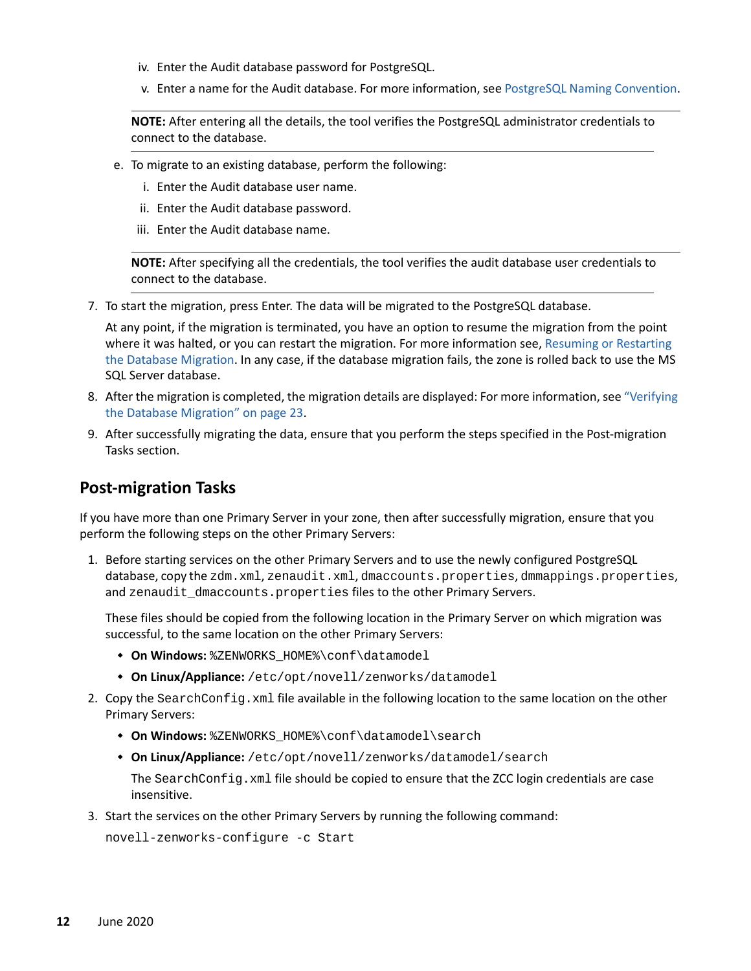- iv. Enter the Audit database password for PostgreSQL.
- v. Enter a name for the Audit database. For more information, see [PostgreSQL Naming Convention](#page-31-2).

**NOTE:** After entering all the details, the tool verifies the PostgreSQL administrator credentials to connect to the database.

- e. To migrate to an existing database, perform the following:
	- i. Enter the Audit database user name.
	- ii. Enter the Audit database password.
	- iii. Enter the Audit database name.

**NOTE:** After specifying all the credentials, the tool verifies the audit database user credentials to connect to the database.

7. To start the migration, press Enter. The data will be migrated to the PostgreSQL database.

At any point, if the migration is terminated, you have an option to resume the migration from the point where it was halted, or you can restart the migration. For more information see, [Resuming or Restarting](#page-31-0)  [the Database Migration](#page-31-0). In any case, if the database migration fails, the zone is rolled back to use the MS SQL Server database.

- 8. After the migration is completed, the migration details are displayed: For more information, see ["Verifying](#page-22-0)  [the Database Migration" on page 23](#page-22-0).
- 9. After successfully migrating the data, ensure that you perform the steps specified in the Post-migration Tasks section.

### **Post-migration Tasks**

If you have more than one Primary Server in your zone, then after successfully migration, ensure that you perform the following steps on the other Primary Servers:

1. Before starting services on the other Primary Servers and to use the newly configured PostgreSQL database, copy the zdm.xml, zenaudit.xml, dmaccounts.properties, dmmappings.properties, and zenaudit\_dmaccounts.properties files to the other Primary Servers.

These files should be copied from the following location in the Primary Server on which migration was successful, to the same location on the other Primary Servers:

- **On Windows:** %ZENWORKS\_HOME%\conf\datamodel
- **On Linux/Appliance:** /etc/opt/novell/zenworks/datamodel
- 2. Copy the SearchConfig.xml file available in the following location to the same location on the other Primary Servers:
	- **On Windows:** %ZENWORKS\_HOME%\conf\datamodel\search
	- **On Linux/Appliance:** /etc/opt/novell/zenworks/datamodel/search

The SearchConfig.xml file should be copied to ensure that the ZCC login credentials are case insensitive.

3. Start the services on the other Primary Servers by running the following command:

novell-zenworks-configure -c Start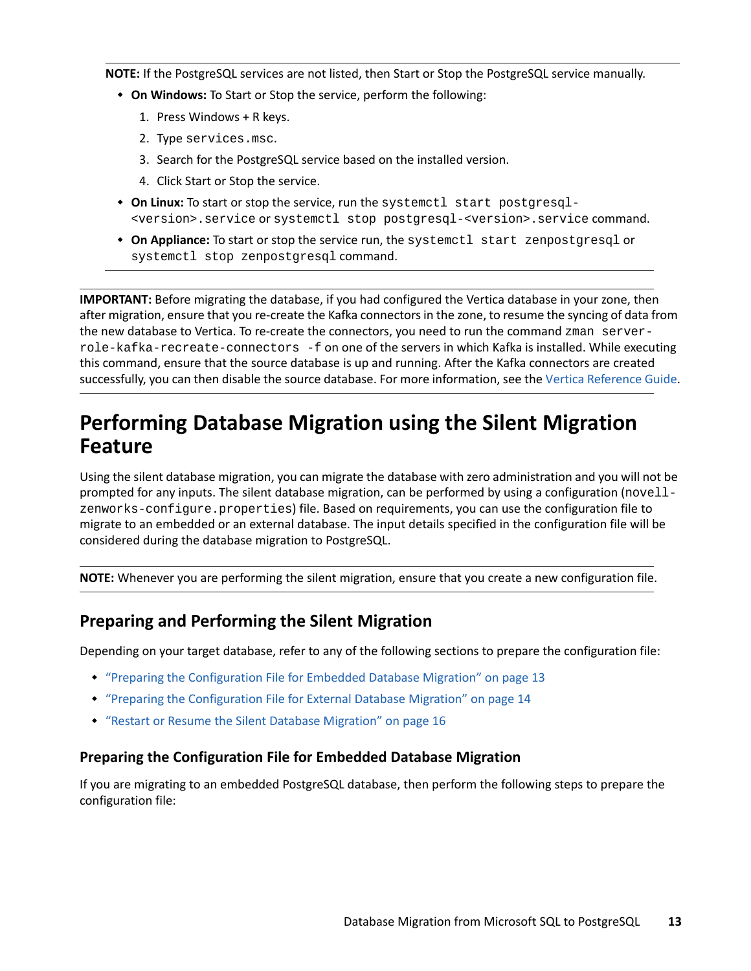**NOTE:** If the PostgreSQL services are not listed, then Start or Stop the PostgreSQL service manually.

- **On Windows:** To Start or Stop the service, perform the following:
	- 1. Press Windows + R keys.
	- 2. Type services.msc.
	- 3. Search for the PostgreSQL service based on the installed version.
	- 4. Click Start or Stop the service.
- **On Linux:** To start or stop the service, run the systemctl start postgresql- <version>.service or systemctl stop postgresql-<version>.service command.
- **On Appliance:** To start or stop the service run, the systemctl start zenpostgresql or systemctl stop zenpostgresql command.

**IMPORTANT:** Before migrating the database, if you had configured the Vertica database in your zone, then after migration, ensure that you re-create the Kafka connectors in the zone, to resume the syncing of data from the new database to Vertica. To re-create the connectors, you need to run the command zman serverrole-kafka-recreate-connectors -f on one of the servers in which Kafka is installed. While executing this command, ensure that the source database is up and running. After the Kafka connectors are created successfully, you can then disable the source database. For more information, see the [Vertica Reference Guide](https://www.novell.com/documentation/zenworks-2020-update-2/pdfdoc/zen_vertica/zen_vertica.pdf#readme).

# <span id="page-12-0"></span>**Performing Database Migration using the Silent Migration Feature**

Using the silent database migration, you can migrate the database with zero administration and you will not be prompted for any inputs. The silent database migration, can be performed by using a configuration (novellzenworks-configure.properties) file. Based on requirements, you can use the configuration file to migrate to an embedded or an external database. The input details specified in the configuration file will be considered during the database migration to PostgreSQL.

**NOTE:** Whenever you are performing the silent migration, ensure that you create a new configuration file.

# **Preparing and Performing the Silent Migration**

Depending on your target database, refer to any of the following sections to prepare the configuration file:

- ["Preparing the Configuration File for Embedded Database Migration" on page 13](#page-12-1)
- ["Preparing the Configuration File for External Database Migration" on page 14](#page-13-0)
- ["Restart or Resume the Silent Database Migration" on page 16](#page-15-0)

#### <span id="page-12-1"></span>**Preparing the Configuration File for Embedded Database Migration**

If you are migrating to an embedded PostgreSQL database, then perform the following steps to prepare the configuration file: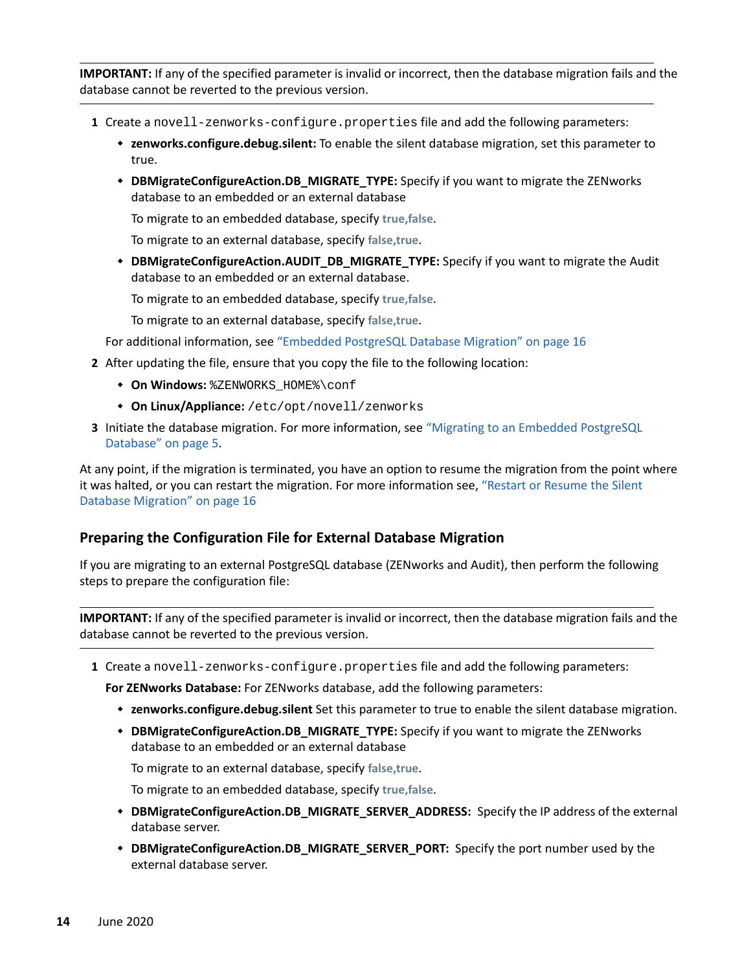**IMPORTANT:** If any of the specified parameter is invalid or incorrect, then the database migration fails and the database cannot be reverted to the previous version.

- **1** Create a novell-zenworks-configure.properties file and add the following parameters:
	- **zenworks.configure.debug.silent:** To enable the silent database migration, set this parameter to true.
	- **DBMigrateConfigureAction.DB\_MIGRATE\_TYPE:** Specify if you want to migrate the ZENworks database to an embedded or an external database

To migrate to an embedded database, specify **true,false**.

To migrate to an external database, specify **false,true**.

**DBMigrateConfigureAction.AUDIT\_DB\_MIGRATE\_TYPE:** Specify if you want to migrate the Audit database to an embedded or an external database.

To migrate to an embedded database, specify **true,false**.

To migrate to an external database, specify **false,true**.

For additional information, see ["Embedded PostgreSQL Database Migration" on page 16](#page-15-1)

- **2** After updating the file, ensure that you copy the file to the following location:
	- **On Windows:** %ZENWORKS\_HOME%\conf
	- **On Linux/Appliance:** /etc/opt/novell/zenworks
- **3** Initiate the database migration. For more information, see ["Migrating to an Embedded PostgreSQL](#page-4-0)  [Database" on page 5](#page-4-0).

At any point, if the migration is terminated, you have an option to resume the migration from the point where it was halted, or you can restart the migration. For more information see, ["Restart or Resume the Silent](#page-15-0)  [Database Migration" on page 16](#page-15-0)

#### <span id="page-13-0"></span>**Preparing the Configuration File for External Database Migration**

If you are migrating to an external PostgreSQL database (ZENworks and Audit), then perform the following steps to prepare the configuration file:

**IMPORTANT:** If any of the specified parameter is invalid or incorrect, then the database migration fails and the database cannot be reverted to the previous version.

**1** Create a novell-zenworks-configure.properties file and add the following parameters:

**For ZENworks Database:** For ZENworks database, add the following parameters:

- **zenworks.configure.debug.silent** Set this parameter to true to enable the silent database migration.
- **DBMigrateConfigureAction.DB\_MIGRATE\_TYPE:** Specify if you want to migrate the ZENworks database to an embedded or an external database

To migrate to an external database, specify **false,true**.

To migrate to an embedded database, specify **true,false**.

- **DBMigrateConfigureAction.DB\_MIGRATE\_SERVER\_ADDRESS:** Specify the IP address of the external database server.
- **DBMigrateConfigureAction.DB\_MIGRATE\_SERVER\_PORT:** Specify the port number used by the external database server.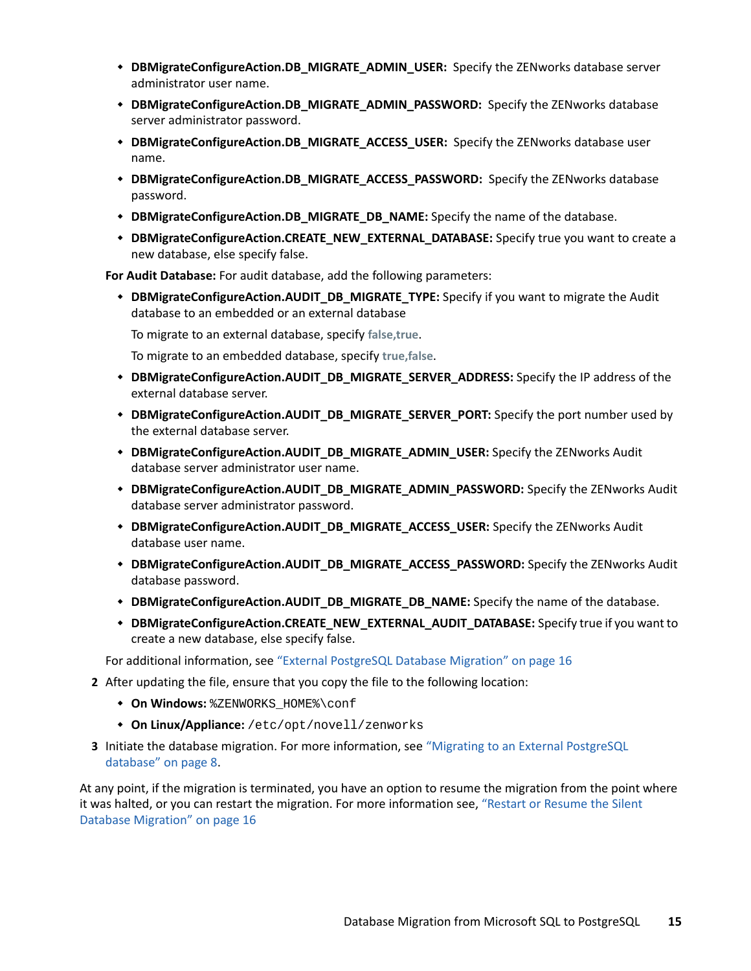- **DBMigrateConfigureAction.DB\_MIGRATE\_ADMIN\_USER:** Specify the ZENworks database server administrator user name.
- **DBMigrateConfigureAction.DB\_MIGRATE\_ADMIN\_PASSWORD:** Specify the ZENworks database server administrator password.
- **DBMigrateConfigureAction.DB\_MIGRATE\_ACCESS\_USER:** Specify the ZENworks database user name.
- **DBMigrateConfigureAction.DB\_MIGRATE\_ACCESS\_PASSWORD:** Specify the ZENworks database password.
- **DBMigrateConfigureAction.DB\_MIGRATE\_DB\_NAME:** Specify the name of the database.
- **DBMigrateConfigureAction.CREATE\_NEW\_EXTERNAL\_DATABASE:** Specify true you want to create a new database, else specify false.

**For Audit Database:** For audit database, add the following parameters:

 **DBMigrateConfigureAction.AUDIT\_DB\_MIGRATE\_TYPE:** Specify if you want to migrate the Audit database to an embedded or an external database

To migrate to an external database, specify **false,true**.

To migrate to an embedded database, specify **true,false**.

- **DBMigrateConfigureAction.AUDIT\_DB\_MIGRATE\_SERVER\_ADDRESS:** Specify the IP address of the external database server.
- **DBMigrateConfigureAction.AUDIT\_DB\_MIGRATE\_SERVER\_PORT:** Specify the port number used by the external database server.
- **DBMigrateConfigureAction.AUDIT\_DB\_MIGRATE\_ADMIN\_USER:** Specify the ZENworks Audit database server administrator user name.
- **DBMigrateConfigureAction.AUDIT\_DB\_MIGRATE\_ADMIN\_PASSWORD:** Specify the ZENworks Audit database server administrator password.
- **DBMigrateConfigureAction.AUDIT\_DB\_MIGRATE\_ACCESS\_USER:** Specify the ZENworks Audit database user name.
- **DBMigrateConfigureAction.AUDIT\_DB\_MIGRATE\_ACCESS\_PASSWORD:** Specify the ZENworks Audit database password.
- **DBMigrateConfigureAction.AUDIT\_DB\_MIGRATE\_DB\_NAME:** Specify the name of the database.
- **DBMigrateConfigureAction.CREATE\_NEW\_EXTERNAL\_AUDIT\_DATABASE:** Specify true if you want to create a new database, else specify false.

For additional information, see ["External PostgreSQL Database Migration" on page 16](#page-15-2)

- **2** After updating the file, ensure that you copy the file to the following location:
	- **On Windows:** %ZENWORKS\_HOME%\conf
	- **On Linux/Appliance:** /etc/opt/novell/zenworks
- **3** Initiate the database migration. For more information, see ["Migrating to an External PostgreSQL](#page-7-0)  [database" on page 8](#page-7-0).

At any point, if the migration is terminated, you have an option to resume the migration from the point where it was halted, or you can restart the migration. For more information see, ["Restart or Resume the Silent](#page-15-0)  [Database Migration" on page 16](#page-15-0)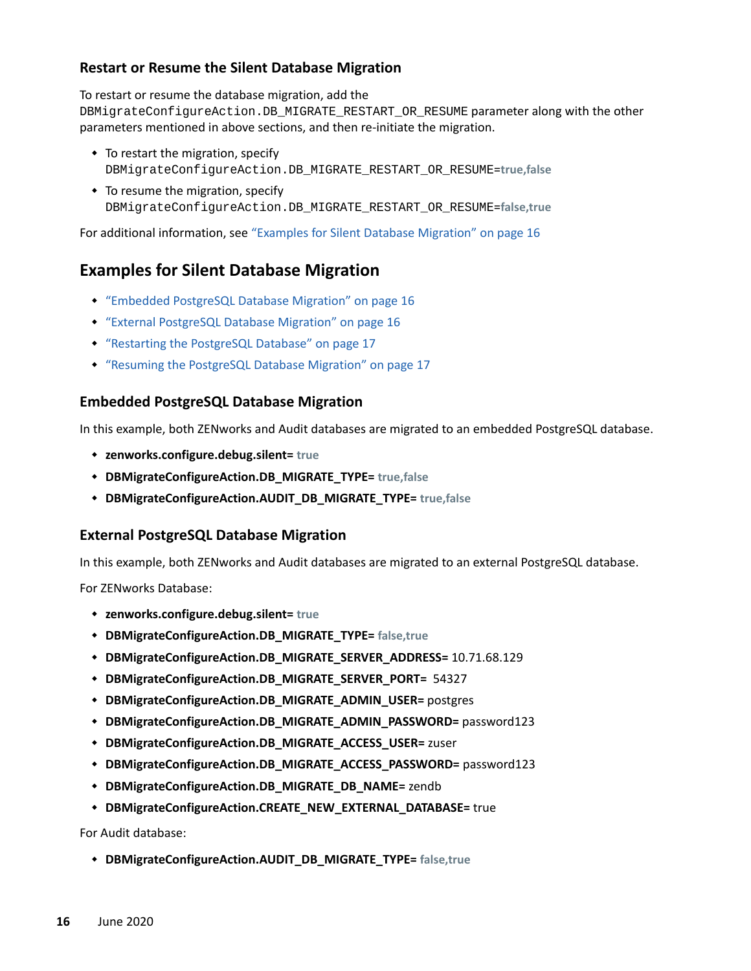#### <span id="page-15-0"></span>**Restart or Resume the Silent Database Migration**

To restart or resume the database migration, add the

DBMigrateConfigureAction.DB\_MIGRATE\_RESTART\_OR\_RESUME parameter along with the other parameters mentioned in above sections, and then re-initiate the migration.

- To restart the migration, specify DBMigrateConfigureAction.DB\_MIGRATE\_RESTART\_OR\_RESUME=**true,false**
- To resume the migration, specify DBMigrateConfigureAction.DB\_MIGRATE\_RESTART\_OR\_RESUME=**false,true**

For additional information, see ["Examples for Silent Database Migration" on page 16](#page-15-3)

## <span id="page-15-3"></span>**Examples for Silent Database Migration**

- ["Embedded PostgreSQL Database Migration" on page 16](#page-15-1)
- ["External PostgreSQL Database Migration" on page 16](#page-15-2)
- ["Restarting the PostgreSQL Database" on page 17](#page-16-1)
- ["Resuming the PostgreSQL Database Migration" on page 17](#page-16-2)

#### <span id="page-15-1"></span>**Embedded PostgreSQL Database Migration**

In this example, both ZENworks and Audit databases are migrated to an embedded PostgreSQL database.

- **zenworks.configure.debug.silent= true**
- **DBMigrateConfigureAction.DB\_MIGRATE\_TYPE= true,false**
- **DBMigrateConfigureAction.AUDIT\_DB\_MIGRATE\_TYPE= true,false**

#### <span id="page-15-2"></span>**External PostgreSQL Database Migration**

In this example, both ZENworks and Audit databases are migrated to an external PostgreSQL database.

For ZENworks Database:

- **zenworks.configure.debug.silent= true**
- **DBMigrateConfigureAction.DB\_MIGRATE\_TYPE= false,true**
- **DBMigrateConfigureAction.DB\_MIGRATE\_SERVER\_ADDRESS=** 10.71.68.129
- **DBMigrateConfigureAction.DB\_MIGRATE\_SERVER\_PORT=** 54327
- **DBMigrateConfigureAction.DB\_MIGRATE\_ADMIN\_USER=** postgres
- **DBMigrateConfigureAction.DB\_MIGRATE\_ADMIN\_PASSWORD=** password123
- **DBMigrateConfigureAction.DB\_MIGRATE\_ACCESS\_USER=** zuser
- **DBMigrateConfigureAction.DB\_MIGRATE\_ACCESS\_PASSWORD=** password123
- **DBMigrateConfigureAction.DB\_MIGRATE\_DB\_NAME=** zendb
- **DBMigrateConfigureAction.CREATE\_NEW\_EXTERNAL\_DATABASE=** true

For Audit database:

**DBMigrateConfigureAction.AUDIT\_DB\_MIGRATE\_TYPE= false,true**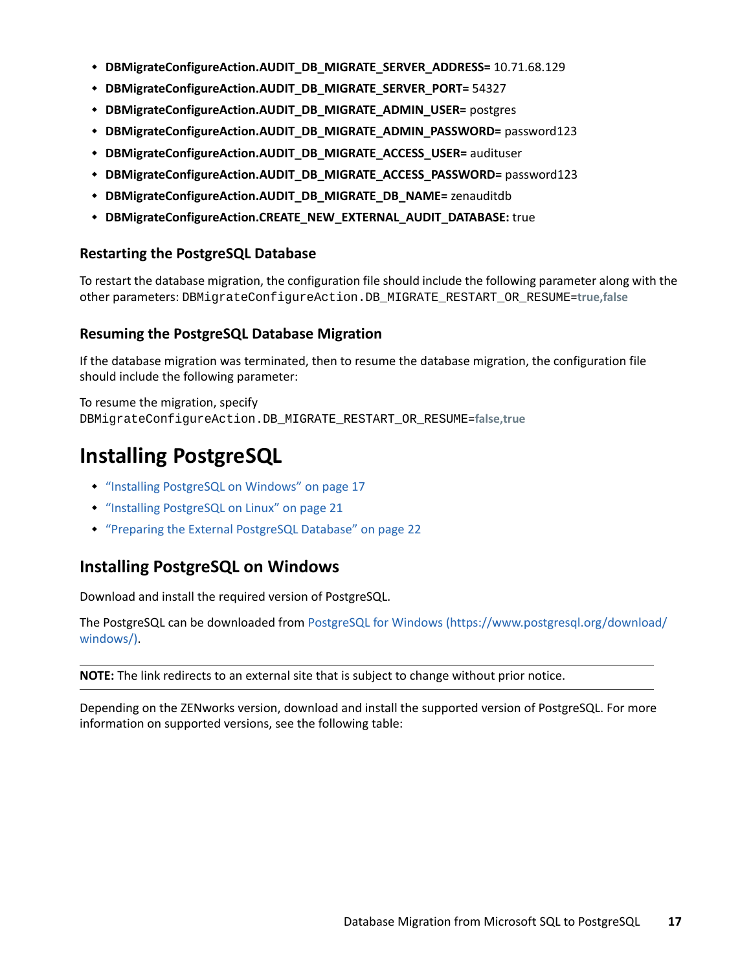- **DBMigrateConfigureAction.AUDIT\_DB\_MIGRATE\_SERVER\_ADDRESS=** 10.71.68.129
- **DBMigrateConfigureAction.AUDIT\_DB\_MIGRATE\_SERVER\_PORT=** 54327
- **DBMigrateConfigureAction.AUDIT\_DB\_MIGRATE\_ADMIN\_USER=** postgres
- **DBMigrateConfigureAction.AUDIT\_DB\_MIGRATE\_ADMIN\_PASSWORD=** password123
- **DBMigrateConfigureAction.AUDIT\_DB\_MIGRATE\_ACCESS\_USER=** audituser
- **DBMigrateConfigureAction.AUDIT\_DB\_MIGRATE\_ACCESS\_PASSWORD=** password123
- **DBMigrateConfigureAction.AUDIT\_DB\_MIGRATE\_DB\_NAME=** zenauditdb
- **DBMigrateConfigureAction.CREATE\_NEW\_EXTERNAL\_AUDIT\_DATABASE:** true

#### <span id="page-16-1"></span>**Restarting the PostgreSQL Database**

To restart the database migration, the configuration file should include the following parameter along with the other parameters: DBMigrateConfigureAction.DB\_MIGRATE\_RESTART\_OR\_RESUME=**true,false**

#### <span id="page-16-2"></span>**Resuming the PostgreSQL Database Migration**

If the database migration was terminated, then to resume the database migration, the configuration file should include the following parameter:

To resume the migration, specify DBMigrateConfigureAction.DB\_MIGRATE\_RESTART\_OR\_RESUME=**false,true**

# <span id="page-16-0"></span>**Installing PostgreSQL**

- ["Installing PostgreSQL on Windows" on page 17](#page-16-3)
- ["Installing PostgreSQL on Linux" on page 21](#page-20-0)
- ["Preparing the External PostgreSQL Database" on page 22](#page-21-0)

## <span id="page-16-3"></span>**Installing PostgreSQL on Windows**

Download and install the required version of PostgreSQL.

The PostgreSQL can be downloaded from [PostgreSQL for Windows](https://www.postgresql.org/download/windows/) (https://www.postgresql.org/download/ windows/).

**NOTE:** The link redirects to an external site that is subject to change without prior notice.

Depending on the ZENworks version, download and install the supported version of PostgreSQL. For more information on supported versions, see the following table: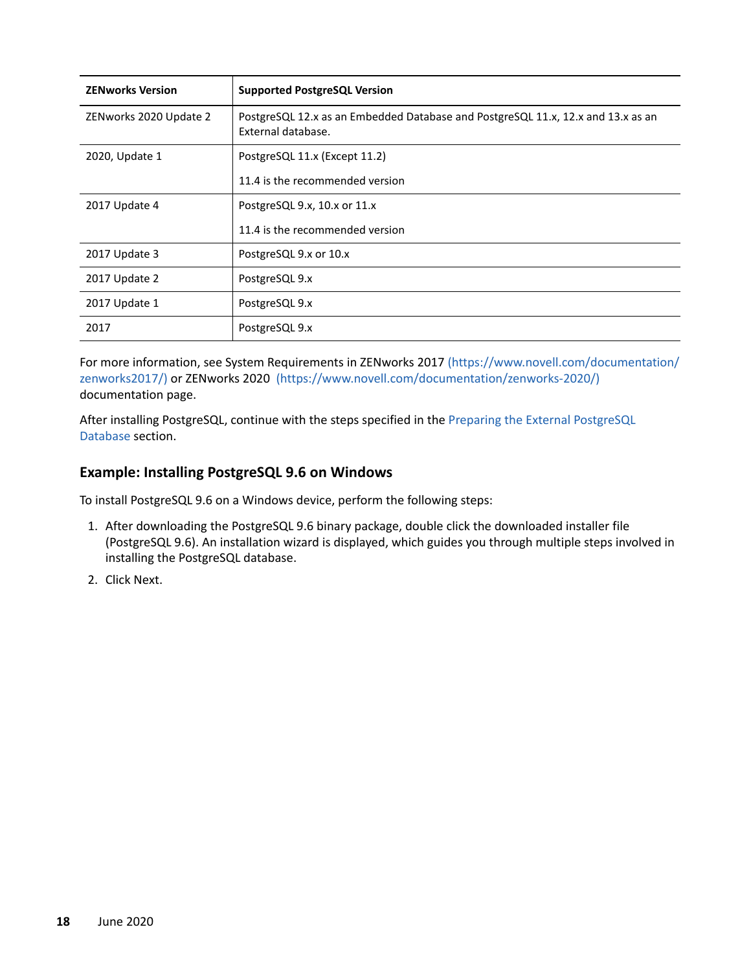| <b>ZENworks Version</b> | <b>Supported PostgreSQL Version</b>                                                                    |
|-------------------------|--------------------------------------------------------------------------------------------------------|
| ZENworks 2020 Update 2  | PostgreSQL 12.x as an Embedded Database and PostgreSQL 11.x, 12.x and 13.x as an<br>External database. |
| 2020, Update 1          | PostgreSQL 11.x (Except 11.2)                                                                          |
|                         | 11.4 is the recommended version                                                                        |
| 2017 Update 4           | PostgreSQL 9.x, 10.x or 11.x                                                                           |
|                         | 11.4 is the recommended version                                                                        |
| 2017 Update 3           | PostgreSQL 9.x or 10.x                                                                                 |
| 2017 Update 2           | PostgreSQL 9.x                                                                                         |
| 2017 Update 1           | PostgreSQL 9.x                                                                                         |
| 2017                    | PostgreSQL 9.x                                                                                         |

For more information, see System Requirements in ZENworks 2017 (https://www.novell.com/documentation/ zenworks2017/) or ZENworks 2020 (https://www.novell.com/documentation/zenworks-2020/) documentation page.

After installing PostgreSQL, continue with the steps specified in the [Preparing the External PostgreSQL](#page-7-1)  [Database](#page-7-1) section.

#### **Example: Installing PostgreSQL 9.6 on Windows**

To install PostgreSQL 9.6 on a Windows device, perform the following steps:

- 1. After downloading the PostgreSQL 9.6 binary package, double click the downloaded installer file (PostgreSQL 9.6). An installation wizard is displayed, which guides you through multiple steps involved in installing the PostgreSQL database.
- 2. Click Next.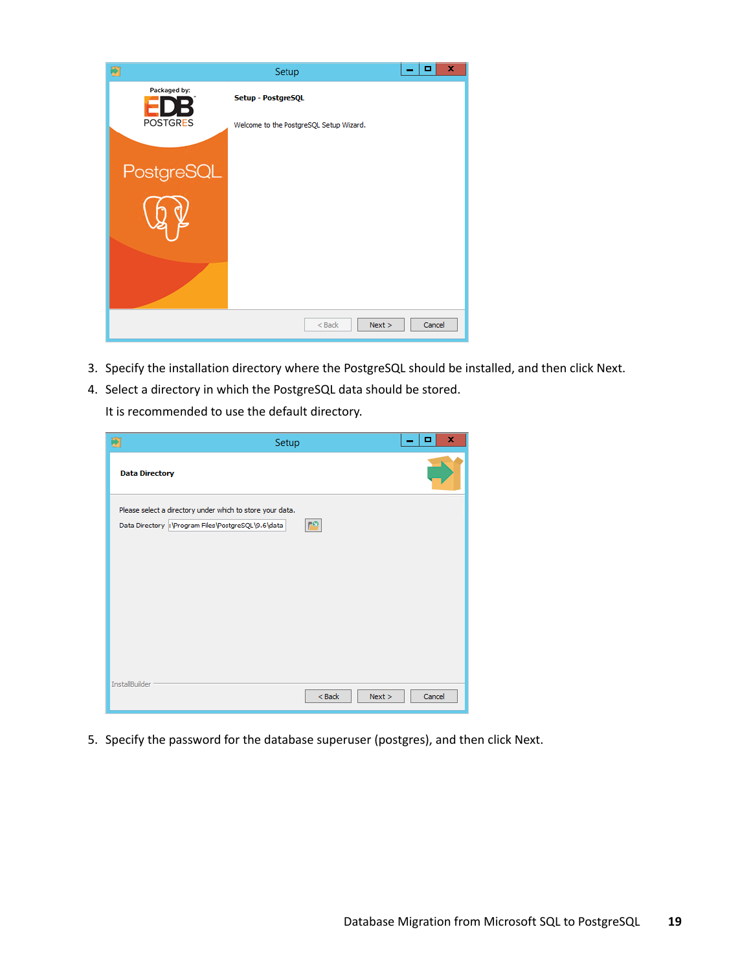| 劑               | Setup                                   | x<br>o<br>- |
|-----------------|-----------------------------------------|-------------|
| Packaged by:    | Setup - PostgreSQL                      |             |
| <b>POSTGRES</b> | Welcome to the PostgreSQL Setup Wizard. |             |
| PostgreSQL      |                                         |             |
|                 |                                         |             |
|                 |                                         |             |
|                 |                                         |             |
|                 |                                         |             |
|                 | Next ><br>$<$ Back                      | Cancel      |

- 3. Specify the installation directory where the PostgreSQL should be installed, and then click Next.
- 4. Select a directory in which the PostgreSQL data should be stored.

It is recommended to use the default directory.

| 奇                     | Setup                                                                                                          |                  | x<br>▫ |
|-----------------------|----------------------------------------------------------------------------------------------------------------|------------------|--------|
| <b>Data Directory</b> |                                                                                                                |                  |        |
|                       | Please select a directory under which to store your data.<br>Data Directory: Program Files PostgreSQL\9.6\data | <b>PO</b>        |        |
| InstallBuilder        |                                                                                                                | $Back$<br>Next > | Cancel |

5. Specify the password for the database superuser (postgres), and then click Next.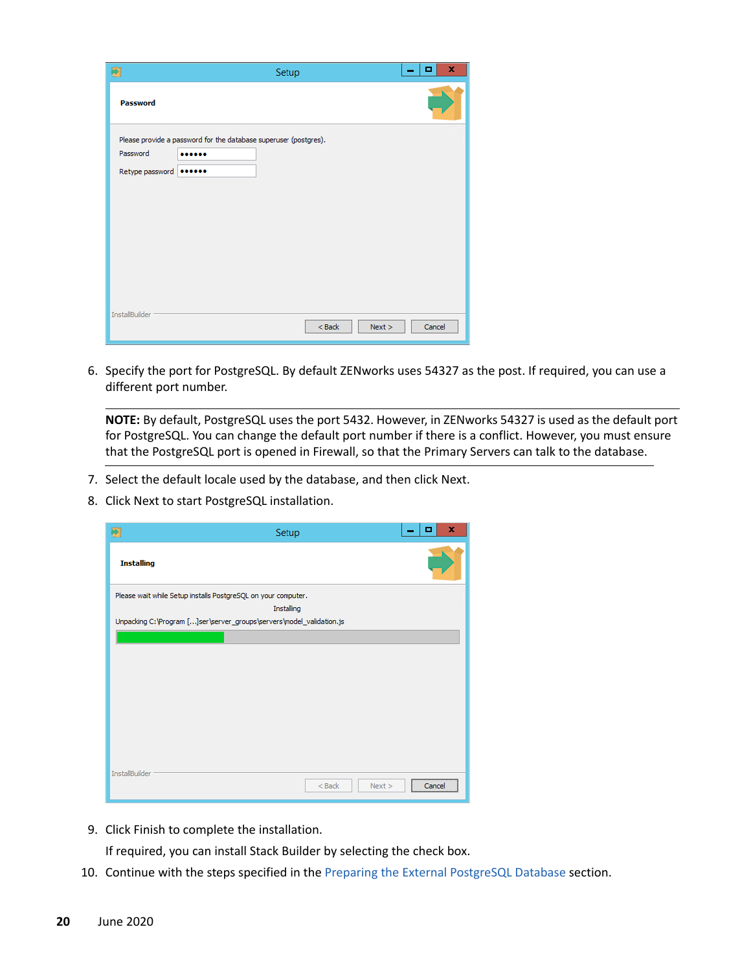| ÷                           | Setup                                                                | x<br>o<br>- |
|-----------------------------|----------------------------------------------------------------------|-------------|
| Password                    |                                                                      |             |
| Password<br>Retype password | Please provide a password for the database superuser (postgres).<br> |             |
| InstallBuilder              | $Back$<br>Next >                                                     | Cancel      |

6. Specify the port for PostgreSQL. By default ZENworks uses 54327 as the post. If required, you can use a different port number.

**NOTE:** By default, PostgreSQL uses the port 5432. However, in ZENworks 54327 is used as the default port for PostgreSQL. You can change the default port number if there is a conflict. However, you must ensure that the PostgreSQL port is opened in Firewall, so that the Primary Servers can talk to the database.

- 7. Select the default locale used by the database, and then click Next.
- 8. Click Next to start PostgreSQL installation.

| Ð                 | Setup                                                                | ×<br>о                                       |
|-------------------|----------------------------------------------------------------------|----------------------------------------------|
| <b>Installing</b> |                                                                      |                                              |
|                   | Please wait while Setup installs PostgreSQL on your computer.        |                                              |
|                   | Installing                                                           |                                              |
|                   | Unpacking C:\Program []ser\server_groups\servers\model_validation.js |                                              |
|                   |                                                                      |                                              |
|                   |                                                                      |                                              |
|                   |                                                                      |                                              |
|                   |                                                                      |                                              |
|                   |                                                                      |                                              |
|                   |                                                                      |                                              |
|                   |                                                                      |                                              |
|                   |                                                                      |                                              |
|                   |                                                                      |                                              |
|                   |                                                                      |                                              |
| InstallBuilder    | $<$ Back<br>Next                                                     | ,,,,,,,,,,,,,,,,,,,,,,,,,,,,,,,,,,<br>Cancel |
|                   |                                                                      |                                              |

9. Click Finish to complete the installation.

If required, you can install Stack Builder by selecting the check box.

10. Continue with the steps specified in the [Preparing the External PostgreSQL Database](#page-7-1) section.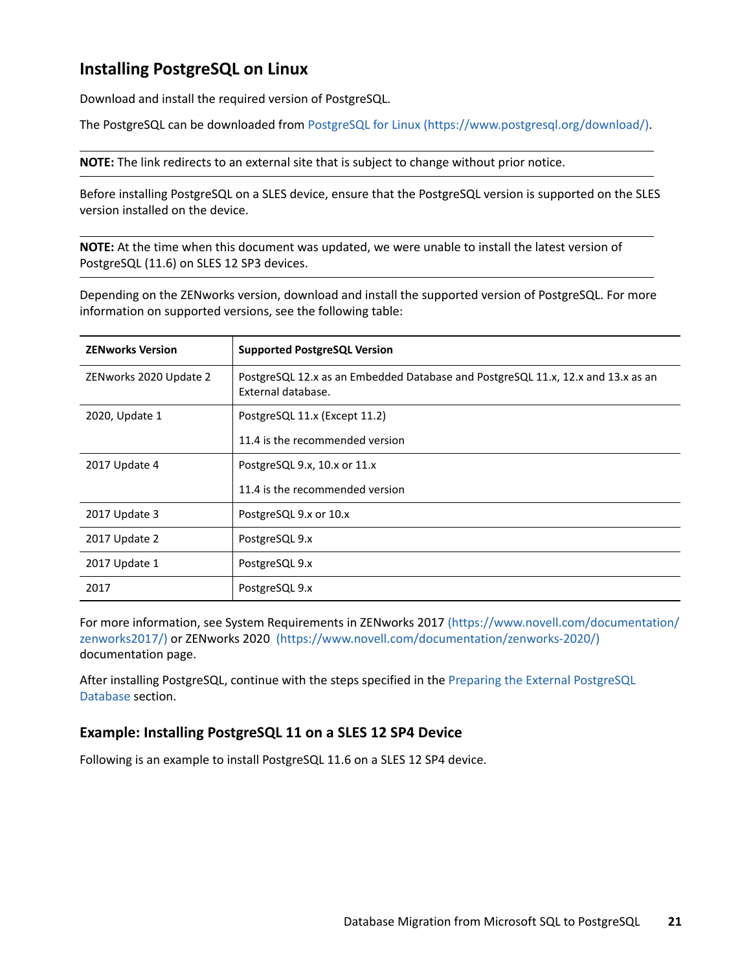# <span id="page-20-0"></span>**Installing PostgreSQL on Linux**

Download and install the required version of PostgreSQL.

The PostgreSQL can be downloaded from [PostgreSQL for Linux](https://www.postgresql.org/download/) (https://www.postgresql.org/download/).

**NOTE:** The link redirects to an external site that is subject to change without prior notice.

Before installing PostgreSQL on a SLES device, ensure that the PostgreSQL version is supported on the SLES version installed on the device.

**NOTE:** At the time when this document was updated, we were unable to install the latest version of PostgreSQL (11.6) on SLES 12 SP3 devices.

Depending on the ZENworks version, download and install the supported version of PostgreSQL. For more information on supported versions, see the following table:

| <b>ZENworks Version</b> | <b>Supported PostgreSQL Version</b>                                                                    |
|-------------------------|--------------------------------------------------------------------------------------------------------|
| ZENworks 2020 Update 2  | PostgreSQL 12.x as an Embedded Database and PostgreSQL 11.x, 12.x and 13.x as an<br>External database. |
| 2020, Update 1          | PostgreSQL 11.x (Except 11.2)                                                                          |
|                         | 11.4 is the recommended version                                                                        |
| 2017 Update 4           | PostgreSQL 9.x, 10.x or 11.x                                                                           |
|                         | 11.4 is the recommended version                                                                        |
| 2017 Update 3           | PostgreSQL 9.x or 10.x                                                                                 |
| 2017 Update 2           | PostgreSQL 9.x                                                                                         |
| 2017 Update 1           | PostgreSQL 9.x                                                                                         |
| 2017                    | PostgreSQL 9.x                                                                                         |

For more information, see System Requirements in ZENworks 2017 (https://www.novell.com/documentation/ zenworks2017/) or ZENworks 2020 (https://www.novell.com/documentation/zenworks-2020/) documentation page.

After installing PostgreSQL, continue with the steps specified in the [Preparing the External PostgreSQL](#page-21-0)  [Database](#page-21-0) section.

#### **Example: Installing PostgreSQL 11 on a SLES 12 SP4 Device**

Following is an example to install PostgreSQL 11.6 on a SLES 12 SP4 device.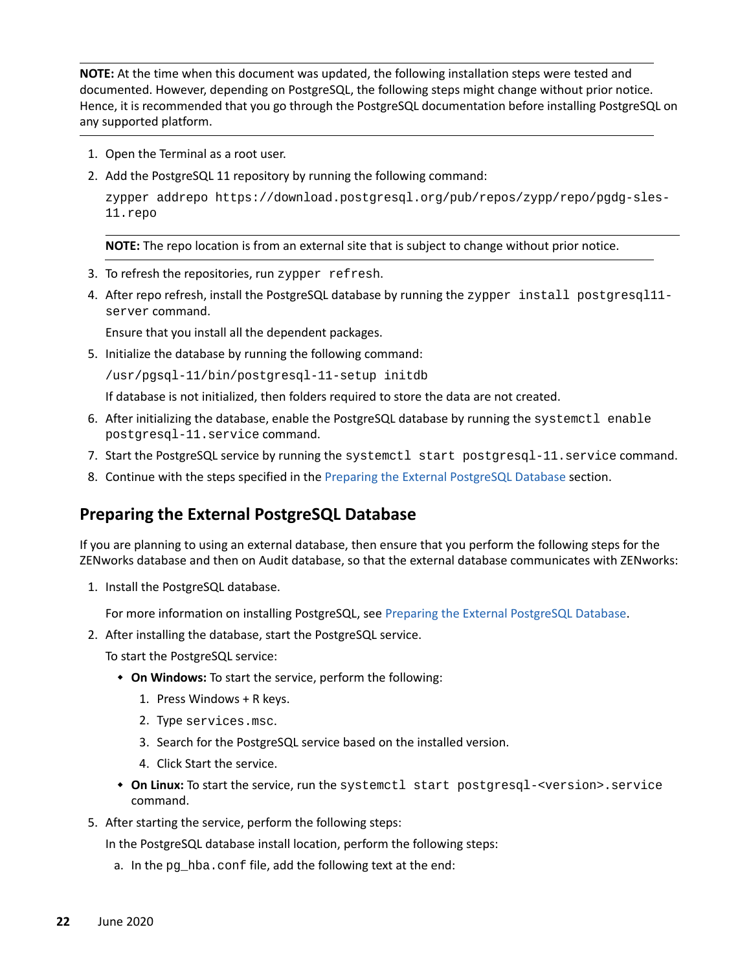**NOTE:** At the time when this document was updated, the following installation steps were tested and documented. However, depending on PostgreSQL, the following steps might change without prior notice. Hence, it is recommended that you go through the PostgreSQL documentation before installing PostgreSQL on any supported platform.

- 1. Open the Terminal as a root user.
- 2. Add the PostgreSQL 11 repository by running the following command:

zypper addrepo https://download.postgresql.org/pub/repos/zypp/repo/pgdg-sles-11.repo

**NOTE:** The repo location is from an external site that is subject to change without prior notice.

- 3. To refresh the repositories, run zypper refresh.
- 4. After repo refresh, install the PostgreSQL database by running the zypper install postgresql11server command.

Ensure that you install all the dependent packages.

5. Initialize the database by running the following command:

/usr/pgsql-11/bin/postgresql-11-setup initdb

If database is not initialized, then folders required to store the data are not created.

- 6. After initializing the database, enable the PostgreSQL database by running the systemctl enable postgresql-11.service command.
- 7. Start the PostgreSQL service by running the systemctl start postgresql-11. service command.
- 8. Continue with the steps specified in the [Preparing the External PostgreSQL Database](#page-21-0) section.

### <span id="page-21-0"></span>**Preparing the External PostgreSQL Database**

If you are planning to using an external database, then ensure that you perform the following steps for the ZENworks database and then on Audit database, so that the external database communicates with ZENworks:

1. Install the PostgreSQL database.

For more information on installing PostgreSQL, see [Preparing the External PostgreSQL Database.](#page-21-0)

2. After installing the database, start the PostgreSQL service.

To start the PostgreSQL service:

- **On Windows:** To start the service, perform the following:
	- 1. Press Windows + R keys.
	- 2. Type services.msc.
	- 3. Search for the PostgreSQL service based on the installed version.
	- 4. Click Start the service.
- **On Linux:** To start the service, run the systemctl start postgresql-<version>.service command.
- 5. After starting the service, perform the following steps:

In the PostgreSQL database install location, perform the following steps:

a. In the pg\_hba.conf file, add the following text at the end: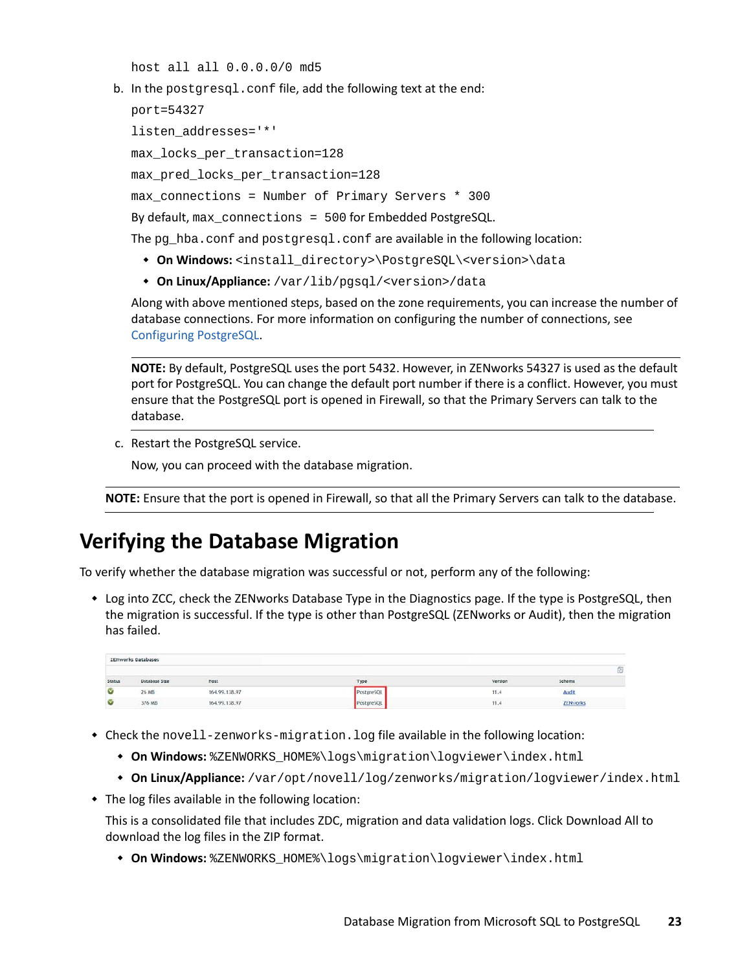host all all 0.0.0.0/0 md5

b. In the postgresgl.conf file, add the following text at the end:

```
port=54327
```
listen\_addresses='\*'

max\_locks\_per\_transaction=128

max\_pred\_locks\_per\_transaction=128

max\_connections = Number of Primary Servers \* 300

By default, max connections = 500 for Embedded PostgreSQL.

The pg  $hba$ .conf and postgresgl.conf are available in the following location:

- **On Windows:** <install\_directory>\PostgreSQL\<version>\data
- **On Linux/Appliance:** /var/lib/pgsql/<version>/data

Along with above mentioned steps, based on the zone requirements, you can increase the number of database connections. For more information on configuring the number of connections, see [Configuring PostgreSQL](https://www.novell.com/documentation/zenworks-2020-update-2/pdfdoc/zen_sys_db_mgmt/zen_sys_db_mgmt.pdf#t41rl5gf8qdv1).

**NOTE:** By default, PostgreSQL uses the port 5432. However, in ZENworks 54327 is used as the default port for PostgreSQL. You can change the default port number if there is a conflict. However, you must ensure that the PostgreSQL port is opened in Firewall, so that the Primary Servers can talk to the database.

c. Restart the PostgreSQL service.

Now, you can proceed with the database migration.

**NOTE:** Ensure that the port is opened in Firewall, so that all the Primary Servers can talk to the database.

# <span id="page-22-0"></span>**Verifying the Database Migration**

To verify whether the database migration was successful or not, perform any of the following:

 Log into ZCC, check the ZENworks Database Type in the Diagnostics page. If the type is PostgreSQL, then the migration is successful. If the type is other than PostgreSQL (ZENworks or Audit), then the migration has failed.

|        | <b>ZENworks Databases</b> |               |            |                          |                 |    |
|--------|---------------------------|---------------|------------|--------------------------|-----------------|----|
|        |                           |               |            |                          |                 | 53 |
| Status | Database Size             | Host          | Type       | <b>PERMIT</b><br>Version | Schema          |    |
| V      | 26 MB                     | 164.99.138.97 | PostereSQI | 11.4                     | <b>Audi</b>     |    |
| Ø      | 376 MB                    | 164.99.138.97 | PostgreSOL | 11.4                     | <b>ZENvorio</b> |    |

- Check the novell-zenworks-migration.log file available in the following location:
	- **On Windows:** %ZENWORKS\_HOME%\logs\migration\logviewer\index.html
	- **On Linux/Appliance:** /var/opt/novell/log/zenworks/migration/logviewer/index.html
- The log files available in the following location:

This is a consolidated file that includes ZDC, migration and data validation logs. Click Download All to download the log files in the ZIP format.

**On Windows:** %ZENWORKS\_HOME%\logs\migration\logviewer\index.html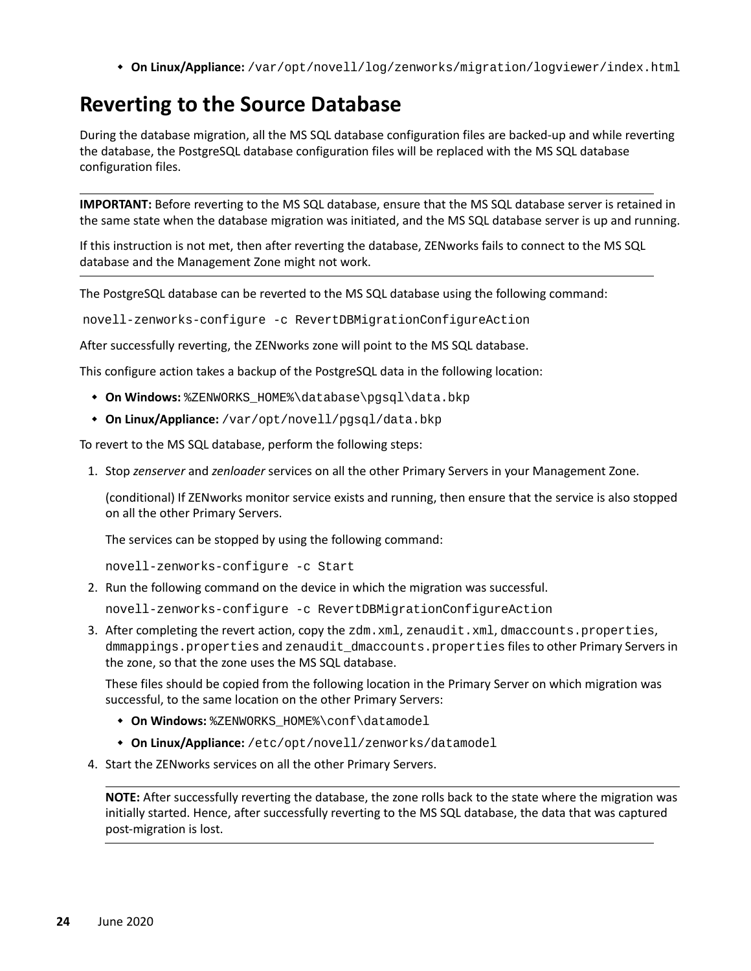**On Linux/Appliance:** /var/opt/novell/log/zenworks/migration/logviewer/index.html

# <span id="page-23-0"></span>**Reverting to the Source Database**

During the database migration, all the MS SQL database configuration files are backed-up and while reverting the database, the PostgreSQL database configuration files will be replaced with the MS SQL database configuration files.

**IMPORTANT:** Before reverting to the MS SQL database, ensure that the MS SQL database server is retained in the same state when the database migration was initiated, and the MS SQL database server is up and running.

If this instruction is not met, then after reverting the database, ZENworks fails to connect to the MS SQL database and the Management Zone might not work.

The PostgreSQL database can be reverted to the MS SQL database using the following command:

novell-zenworks-configure -c RevertDBMigrationConfigureAction

After successfully reverting, the ZENworks zone will point to the MS SQL database.

This configure action takes a backup of the PostgreSQL data in the following location:

- **On Windows:** %ZENWORKS\_HOME%\database\pgsql\data.bkp
- **On Linux/Appliance:** /var/opt/novell/pgsql/data.bkp

To revert to the MS SQL database, perform the following steps:

1. Stop *zenserver* and *zenloader* services on all the other Primary Servers in your Management Zone.

(conditional) If ZENworks monitor service exists and running, then ensure that the service is also stopped on all the other Primary Servers.

The services can be stopped by using the following command:

novell-zenworks-configure -c Start

2. Run the following command on the device in which the migration was successful.

novell-zenworks-configure -c RevertDBMigrationConfigureAction

3. After completing the revert action, copy the zdm.xml, zenaudit.xml, dmaccounts.properties, dmmappings.properties and zenaudit dmaccounts.properties files to other Primary Servers in the zone, so that the zone uses the MS SQL database.

These files should be copied from the following location in the Primary Server on which migration was successful, to the same location on the other Primary Servers:

- **On Windows:** %ZENWORKS\_HOME%\conf\datamodel
- **On Linux/Appliance:** /etc/opt/novell/zenworks/datamodel
- 4. Start the ZENworks services on all the other Primary Servers.

**NOTE:** After successfully reverting the database, the zone rolls back to the state where the migration was initially started. Hence, after successfully reverting to the MS SQL database, the data that was captured post-migration is lost.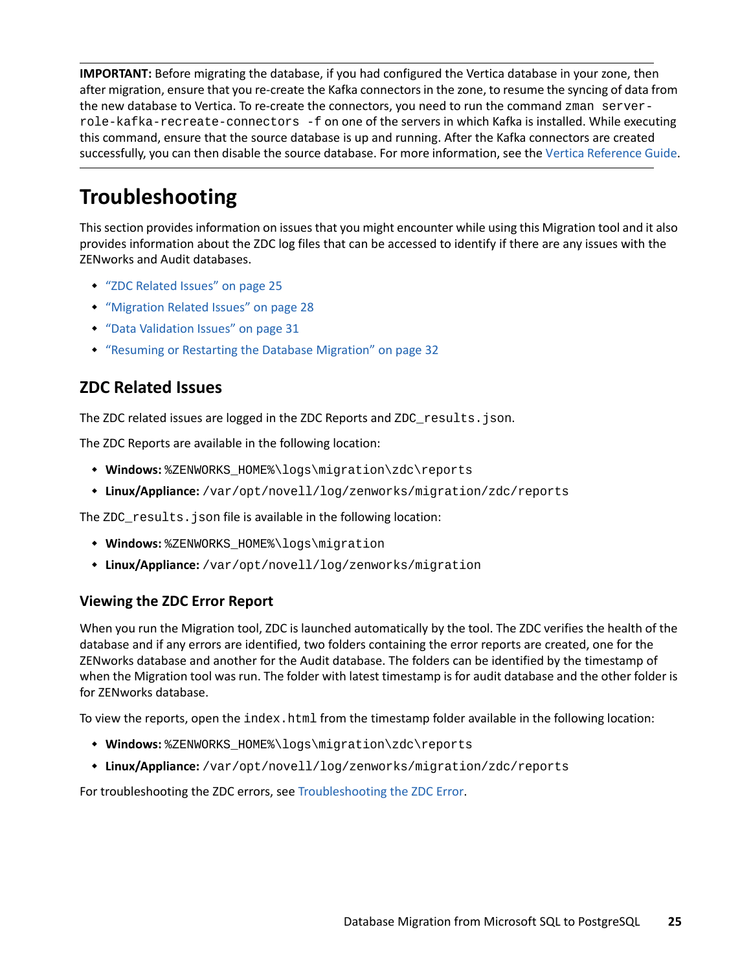**IMPORTANT:** Before migrating the database, if you had configured the Vertica database in your zone, then after migration, ensure that you re-create the Kafka connectors in the zone, to resume the syncing of data from the new database to Vertica. To re-create the connectors, you need to run the command zman serverrole-kafka-recreate-connectors -f on one of the servers in which Kafka is installed. While executing this command, ensure that the source database is up and running. After the Kafka connectors are created successfully, you can then disable the source database. For more information, see the [Vertica Reference Guide](https://www.novell.com/documentation/zenworks-2020-update-2/pdfdoc/zen_vertica/zen_vertica.pdf#readme).

# <span id="page-24-0"></span>**Troubleshooting**

This section provides information on issues that you might encounter while using this Migration tool and it also provides information about the ZDC log files that can be accessed to identify if there are any issues with the ZENworks and Audit databases.

- ["ZDC Related Issues" on page 25](#page-24-2)
- ["Migration Related Issues" on page 28](#page-27-0)
- ["Data Validation Issues" on page 31](#page-30-0)
- ["Resuming or Restarting the Database Migration" on page 32](#page-31-0)

# <span id="page-24-2"></span>**ZDC Related Issues**

The ZDC related issues are logged in the ZDC Reports and ZDC\_results.json.

The ZDC Reports are available in the following location:

- **Windows:** %ZENWORKS\_HOME%\logs\migration\zdc\reports
- **Linux/Appliance:** /var/opt/novell/log/zenworks/migration/zdc/reports

The ZDC\_results.json file is available in the following location:

- **Windows:** %ZENWORKS\_HOME%\logs\migration
- **Linux/Appliance:** /var/opt/novell/log/zenworks/migration

#### <span id="page-24-1"></span>**Viewing the ZDC Error Report**

When you run the Migration tool, ZDC is launched automatically by the tool. The ZDC verifies the health of the database and if any errors are identified, two folders containing the error reports are created, one for the ZENworks database and another for the Audit database. The folders can be identified by the timestamp of when the Migration tool was run. The folder with latest timestamp is for audit database and the other folder is for ZENworks database.

To view the reports, open the  $index.html$  from the timestamp folder available in the following location:

- **Windows:** %ZENWORKS\_HOME%\logs\migration\zdc\reports
- **Linux/Appliance:** /var/opt/novell/log/zenworks/migration/zdc/reports

For troubleshooting the ZDC errors, see [Troubleshooting the ZDC Error](#page-25-0).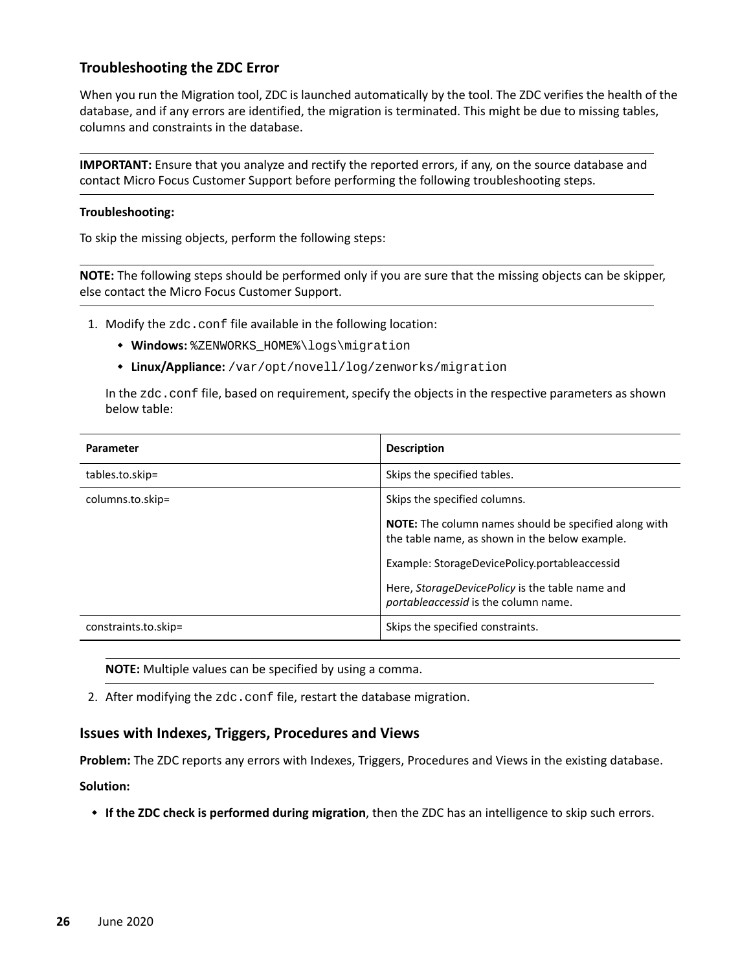#### <span id="page-25-0"></span>**Troubleshooting the ZDC Error**

When you run the Migration tool, ZDC is launched automatically by the tool. The ZDC verifies the health of the database, and if any errors are identified, the migration is terminated. This might be due to missing tables, columns and constraints in the database.

**IMPORTANT:** Ensure that you analyze and rectify the reported errors, if any, on the source database and contact Micro Focus Customer Support before performing the following troubleshooting steps.

#### **Troubleshooting:**

To skip the missing objects, perform the following steps:

**NOTE:** The following steps should be performed only if you are sure that the missing objects can be skipper, else contact the Micro Focus Customer Support.

1. Modify the zdc.conf file available in the following location:

- **Windows:** %ZENWORKS\_HOME%\logs\migration
- **Linux/Appliance:** /var/opt/novell/log/zenworks/migration

In the zdc.conf file, based on requirement, specify the objects in the respective parameters as shown below table:

| Parameter            | <b>Description</b>                                                                                             |
|----------------------|----------------------------------------------------------------------------------------------------------------|
| tables.to.skip=      | Skips the specified tables.                                                                                    |
| columns.to.skip=     | Skips the specified columns.                                                                                   |
|                      | <b>NOTE:</b> The column names should be specified along with<br>the table name, as shown in the below example. |
|                      | Example: StorageDevicePolicy.portableaccessid                                                                  |
|                      | Here, StorageDevicePolicy is the table name and<br>portableaccessid is the column name.                        |
| constraints.to.skip= | Skips the specified constraints.                                                                               |

**NOTE:** Multiple values can be specified by using a comma.

2. After modifying the zdc.conf file, restart the database migration.

#### **Issues with Indexes, Triggers, Procedures and Views**

**Problem:** The ZDC reports any errors with Indexes, Triggers, Procedures and Views in the existing database. **Solution:** 

**If the ZDC check is performed during migration**, then the ZDC has an intelligence to skip such errors.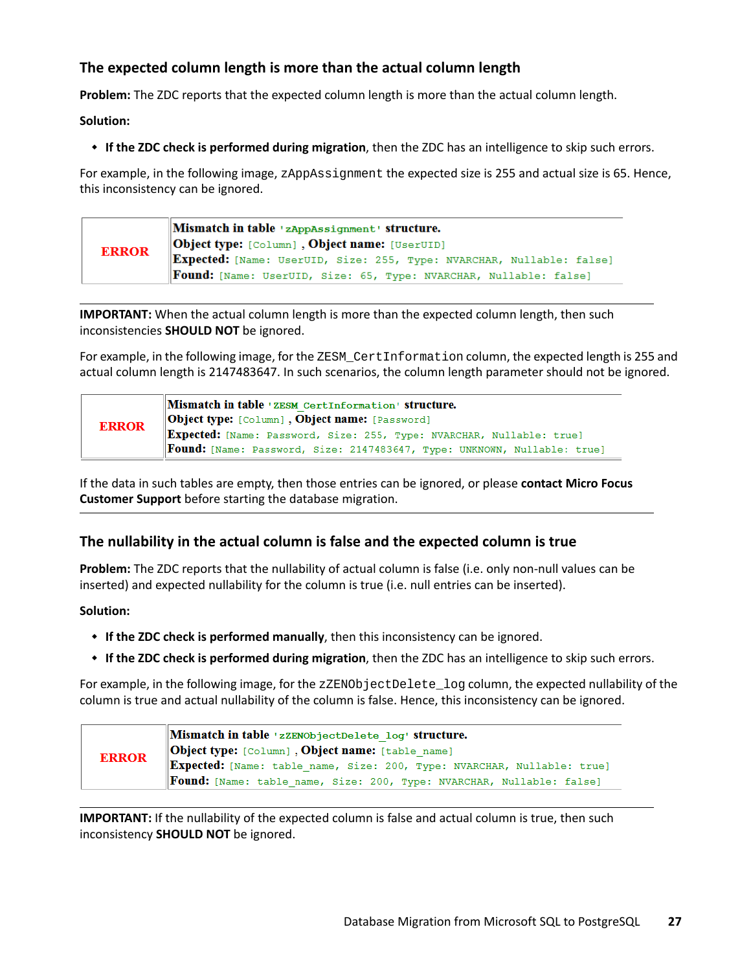### **The expected column length is more than the actual column length**

**Problem:** The ZDC reports that the expected column length is more than the actual column length.

**Solution:** 

**If the ZDC check is performed during migration**, then the ZDC has an intelligence to skip such errors.

For example, in the following image, zAppAssignment the expected size is 255 and actual size is 65. Hence, this inconsistency can be ignored.

| <b>ERROR</b> | Mismatch in table 'zAppAssignment' structure.                            |
|--------------|--------------------------------------------------------------------------|
|              | <b>Object type:</b> [Column], Object name: [UserUID]                     |
|              | Expected: [Name: UserUID, Size: 255, Type: NVARCHAR, Nullable: false]    |
|              | <b>Found:</b> [Name: UserUID, Size: 65, Type: NVARCHAR, Nullable: false] |

**IMPORTANT:** When the actual column length is more than the expected column length, then such inconsistencies **SHOULD NOT** be ignored.

For example, in the following image, for the ZESM\_CertInformation column, the expected length is 255 and actual column length is 2147483647. In such scenarios, the column length parameter should not be ignored.

| <b>ERROR</b> | Mismatch in table 'ZESM CertInformation' structure.<br><b>Object type:</b> [Column], Object name: [Password]                                             |  |  |
|--------------|----------------------------------------------------------------------------------------------------------------------------------------------------------|--|--|
|              | Expected: [Name: Password, Size: 255, Type: NVARCHAR, Nullable: true]<br><b>Found:</b> [Name: Password, Size: 2147483647, Type: UNKNOWN, Nullable: true] |  |  |

If the data in such tables are empty, then those entries can be ignored, or please **contact Micro Focus Customer Support** before starting the database migration.

#### **The nullability in the actual column is false and the expected column is true**

**Problem:** The ZDC reports that the nullability of actual column is false (i.e. only non-null values can be inserted) and expected nullability for the column is true (i.e. null entries can be inserted).

**Solution:** 

- **If the ZDC check is performed manually**, then this inconsistency can be ignored.
- **If the ZDC check is performed during migration**, then the ZDC has an intelligence to skip such errors.

For example, in the following image, for the zZENObjectDelete\_log column, the expected nullability of the column is true and actual nullability of the column is false. Hence, this inconsistency can be ignored.

|              | Mismatch in table 'zZENObjectDelete log' structure.                          |
|--------------|------------------------------------------------------------------------------|
| <b>ERROR</b> | <b>Object type:</b> [Column], Object name: [table name]                      |
|              | Expected: [Name: table name, Size: 200, Type: NVARCHAR, Nullable: true]      |
|              | <b>Found:</b> [Name: table name, Size: 200, Type: NVARCHAR, Nullable: false] |

**IMPORTANT:** If the nullability of the expected column is false and actual column is true, then such inconsistency **SHOULD NOT** be ignored.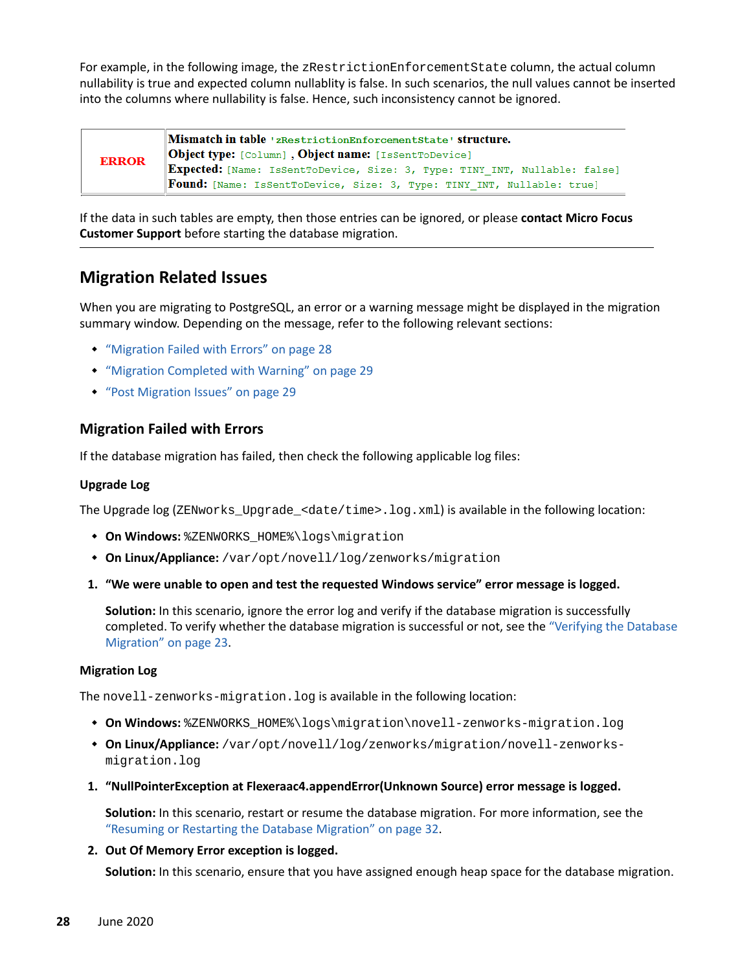For example, in the following image, the zRestrictionEnforcementState column, the actual column nullability is true and expected column nullablity is false. In such scenarios, the null values cannot be inserted into the columns where nullability is false. Hence, such inconsistency cannot be ignored.

| <b>ERROR</b> | Mismatch in table 'zRestrictionEnforcementState' structure.<br><b>Object type:</b> [Column], Object name: [IsSentToDevice]                           |  |  |  |
|--------------|------------------------------------------------------------------------------------------------------------------------------------------------------|--|--|--|
|              | Expected: [Name: IsSentToDevice, Size: 3, Type: TINY_INT, Nullable: false]<br>Found: [Name: IsSentToDevice, Size: 3, Type: TINY_INT, Nullable: true] |  |  |  |

If the data in such tables are empty, then those entries can be ignored, or please **contact Micro Focus Customer Support** before starting the database migration.

# <span id="page-27-0"></span>**Migration Related Issues**

When you are migrating to PostgreSQL, an error or a warning message might be displayed in the migration summary window. Depending on the message, refer to the following relevant sections:

- ["Migration Failed with Errors" on page 28](#page-27-1)
- ["Migration Completed with Warning" on page 29](#page-28-0)
- ["Post Migration Issues" on page 29](#page-28-1)

#### <span id="page-27-1"></span>**Migration Failed with Errors**

If the database migration has failed, then check the following applicable log files:

#### **Upgrade Log**

The Upgrade log (ZENworks\_Upgrade\_<date/time>.log.xml) is available in the following location:

- **+ On Windows:** %ZENWORKS HOME%\logs\migration
- **On Linux/Appliance:** /var/opt/novell/log/zenworks/migration
- **1. "We were unable to open and test the requested Windows service" error message is logged.**

**Solution:** In this scenario, ignore the error log and verify if the database migration is successfully completed. To verify whether the database migration is successful or not, see the ["Verifying the Database](#page-22-0)  [Migration" on page 23.](#page-22-0)

#### **Migration Log**

The novell-zenworks-migration.log is available in the following location:

- **On Windows:** %ZENWORKS\_HOME%\logs\migration\novell-zenworks-migration.log
- **On Linux/Appliance:** /var/opt/novell/log/zenworks/migration/novell-zenworksmigration.log
- **1. "NullPointerException at Flexeraac4.appendError(Unknown Source) error message is logged.**

**Solution:** In this scenario, restart or resume the database migration. For more information, see the ["Resuming or Restarting the Database Migration" on page 32.](#page-31-0)

#### **2. Out Of Memory Error exception is logged.**

**Solution:** In this scenario, ensure that you have assigned enough heap space for the database migration.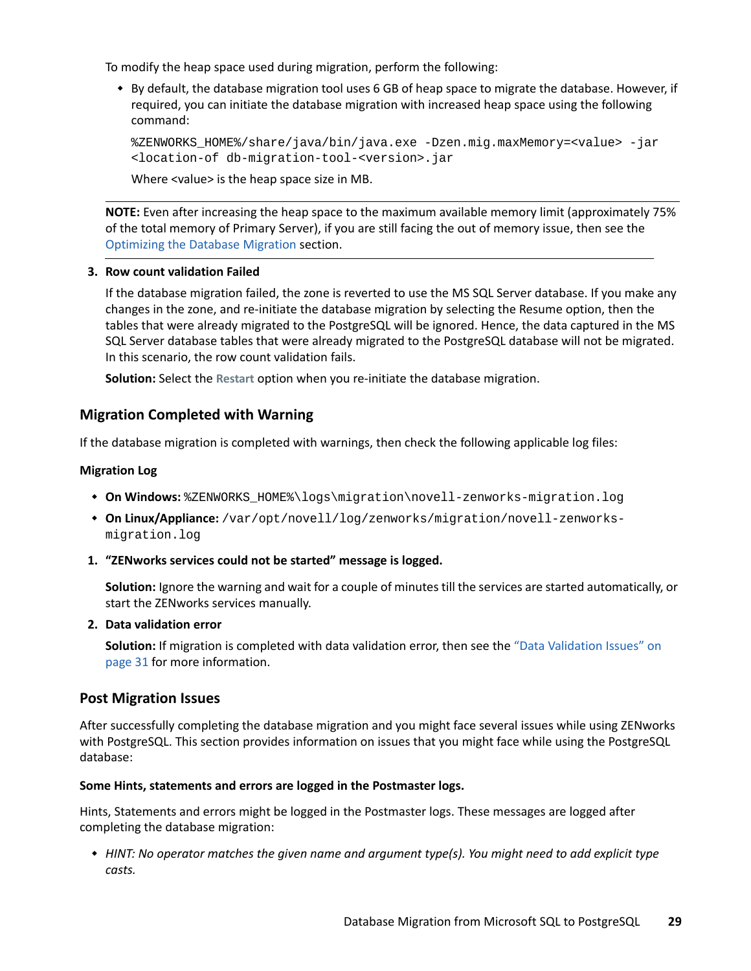To modify the heap space used during migration, perform the following:

 By default, the database migration tool uses 6 GB of heap space to migrate the database. However, if required, you can initiate the database migration with increased heap space using the following command:

```
%ZENWORKS_HOME%/share/java/bin/java.exe -Dzen.mig.maxMemory=<value> -jar 
<location-of db-migration-tool-<version>.jar
```
Where <value> is the heap space size in MB.

**NOTE:** Even after increasing the heap space to the maximum available memory limit (approximately 75% of the total memory of Primary Server), if you are still facing the out of memory issue, then see the [Optimizing the Database Migration](#page-1-0) section.

#### **3. Row count validation Failed**

If the database migration failed, the zone is reverted to use the MS SQL Server database. If you make any changes in the zone, and re-initiate the database migration by selecting the Resume option, then the tables that were already migrated to the PostgreSQL will be ignored. Hence, the data captured in the MS SQL Server database tables that were already migrated to the PostgreSQL database will not be migrated. In this scenario, the row count validation fails.

**Solution:** Select the **Restart** option when you re-initiate the database migration.

#### <span id="page-28-0"></span>**Migration Completed with Warning**

If the database migration is completed with warnings, then check the following applicable log files:

#### **Migration Log**

- **On Windows:** %ZENWORKS\_HOME%\logs\migration\novell-zenworks-migration.log
- **On Linux/Appliance:** /var/opt/novell/log/zenworks/migration/novell-zenworksmigration.log
- **1. "ZENworks services could not be started" message is logged.**

**Solution:** Ignore the warning and wait for a couple of minutes till the services are started automatically, or start the ZENworks services manually.

#### **2. Data validation error**

**Solution:** If migration is completed with data validation error, then see the ["Data Validation Issues" on](#page-30-0)  [page 31](#page-30-0) for more information.

#### <span id="page-28-1"></span>**Post Migration Issues**

After successfully completing the database migration and you might face several issues while using ZENworks with PostgreSQL. This section provides information on issues that you might face while using the PostgreSQL database:

#### **Some Hints, statements and errors are logged in the Postmaster logs.**

Hints, Statements and errors might be logged in the Postmaster logs. These messages are logged after completing the database migration:

 *HINT: No operator matches the given name and argument type(s). You might need to add explicit type casts.*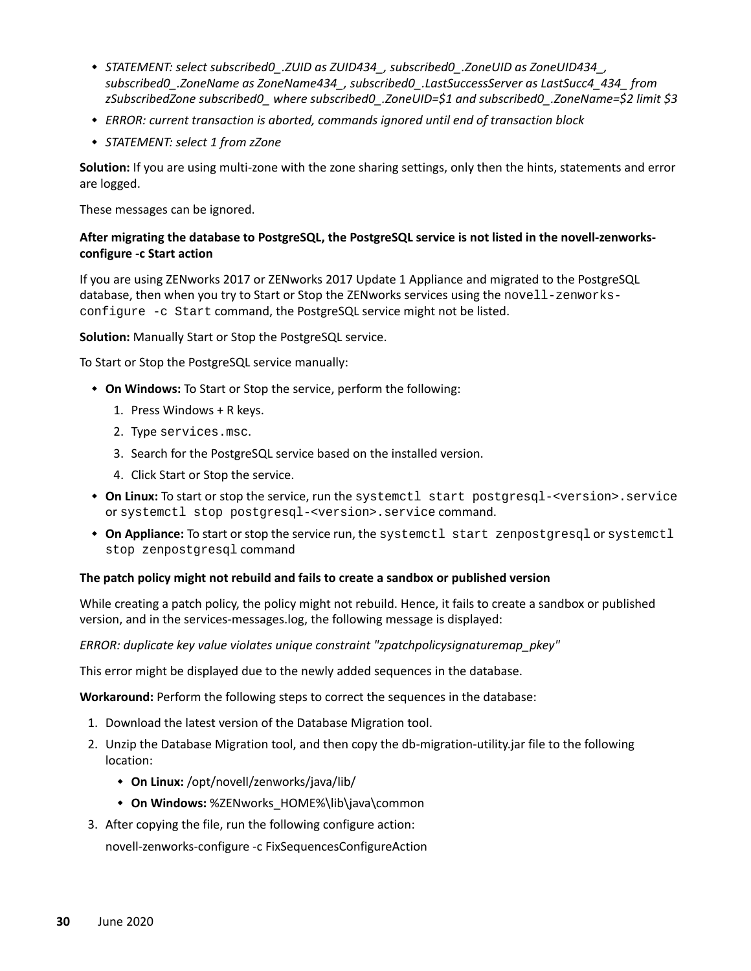- *STATEMENT: select subscribed0\_.ZUID as ZUID434\_, subscribed0\_.ZoneUID as ZoneUID434\_, subscribed0\_.ZoneName as ZoneName434\_, subscribed0\_.LastSuccessServer as LastSucc4\_434\_ from zSubscribedZone subscribed0\_ where subscribed0\_.ZoneUID=\$1 and subscribed0\_.ZoneName=\$2 limit \$3*
- *ERROR: current transaction is aborted, commands ignored until end of transaction block*
- *STATEMENT: select 1 from zZone*

**Solution:** If you are using multi-zone with the zone sharing settings, only then the hints, statements and error are logged.

These messages can be ignored.

#### **After migrating the database to PostgreSQL, the PostgreSQL service is not listed in the novell-zenworksconfigure -c Start action**

If you are using ZENworks 2017 or ZENworks 2017 Update 1 Appliance and migrated to the PostgreSQL database, then when you try to Start or Stop the ZENworks services using the novell-zenworksconfigure -c Start command, the PostgreSQL service might not be listed.

**Solution:** Manually Start or Stop the PostgreSQL service.

To Start or Stop the PostgreSQL service manually:

- **On Windows:** To Start or Stop the service, perform the following:
	- 1. Press Windows + R keys.
	- 2. Type services.msc.
	- 3. Search for the PostgreSQL service based on the installed version.
	- 4. Click Start or Stop the service.
- **On Linux:** To start or stop the service, run the systemctl start postgresql-<version>.service or systemctl stop postgresql-<version>.service command.
- **On Appliance:** To start or stop the service run, the systemctl start zenpostgresql or systemctl stop zenpostgresql command

#### **The patch policy might not rebuild and fails to create a sandbox or published version**

While creating a patch policy, the policy might not rebuild. Hence, it fails to create a sandbox or published version, and in the services-messages.log, the following message is displayed:

#### *ERROR: duplicate key value violates unique constraint "zpatchpolicysignaturemap\_pkey"*

This error might be displayed due to the newly added sequences in the database.

**Workaround:** Perform the following steps to correct the sequences in the database:

- 1. Download the latest version of the Database Migration tool.
- 2. Unzip the Database Migration tool, and then copy the db-migration-utility.jar file to the following location:
	- **On Linux:** /opt/novell/zenworks/java/lib/
	- **On Windows:** %ZENworks\_HOME%\lib\java\common
- 3. After copying the file, run the following configure action:

novell-zenworks-configure -c FixSequencesConfigureAction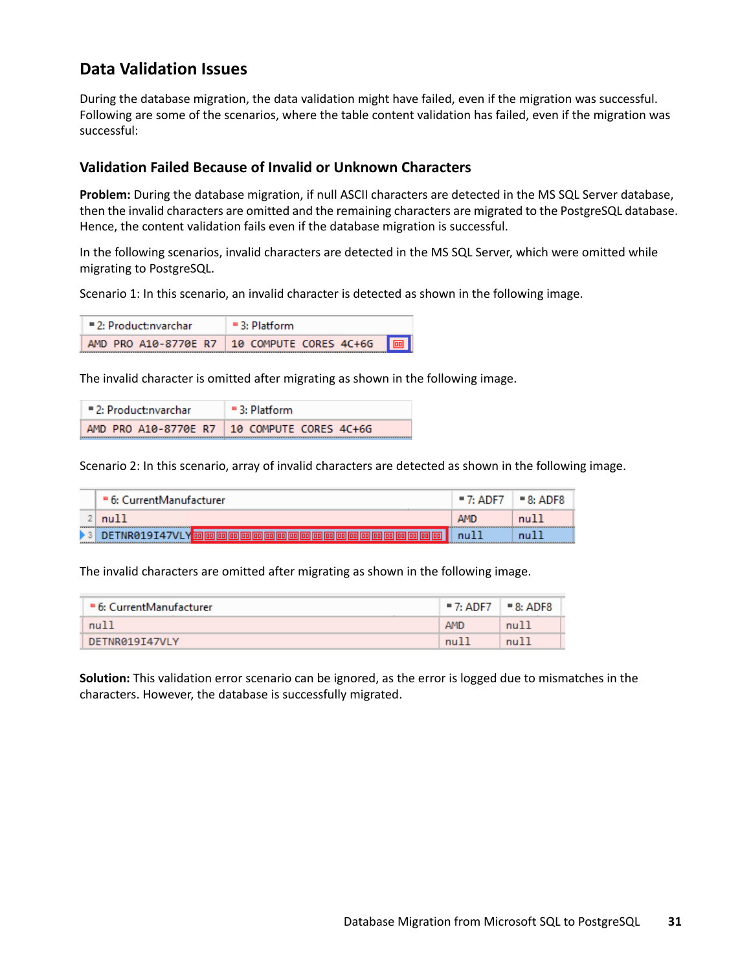# <span id="page-30-0"></span>**Data Validation Issues**

During the database migration, the data validation might have failed, even if the migration was successful. Following are some of the scenarios, where the table content validation has failed, even if the migration was successful:

#### **Validation Failed Because of Invalid or Unknown Characters**

**Problem:** During the database migration, if null ASCII characters are detected in the MS SQL Server database, then the invalid characters are omitted and the remaining characters are migrated to the PostgreSQL database. Hence, the content validation fails even if the database migration is successful.

In the following scenarios, invalid characters are detected in the MS SQL Server, which were omitted while migrating to PostgreSQL.

Scenario 1: In this scenario, an invalid character is detected as shown in the following image.

| $= 2: Product: nvarchar$ | $=$ 3: Platform                             |  |
|--------------------------|---------------------------------------------|--|
|                          | AMD PRO A10-8770E R7 10 COMPUTE CORES 4C+6G |  |

The invalid character is omitted after migrating as shown in the following image.

| $= 2: Product: nvarchar$ | $\equiv$ 3: Platform                          |
|--------------------------|-----------------------------------------------|
|                          | AMD PRO A10-8770E R7   10 COMPUTE CORES 4C+6G |

Scenario 2: In this scenario, array of invalid characters are detected as shown in the following image.

|                    | ■ 6: CurrentManufacturer |            | $-8:$ ADF8 |
|--------------------|--------------------------|------------|------------|
|                    | null                     | <b>AMD</b> | nu11       |
| ******<br>******** | DETNR019I4               | null       | mul        |

The invalid characters are omitted after migrating as shown in the following image.

| ■ 6: CurrentManufacturer | $= 7:$ ADF7 $\Box$ | $= 8:$ ADF8 |
|--------------------------|--------------------|-------------|
| null                     | <b>AMD</b>         | null        |
| DETNR019I47VLY           | nu1                | null        |

**Solution:** This validation error scenario can be ignored, as the error is logged due to mismatches in the characters. However, the database is successfully migrated.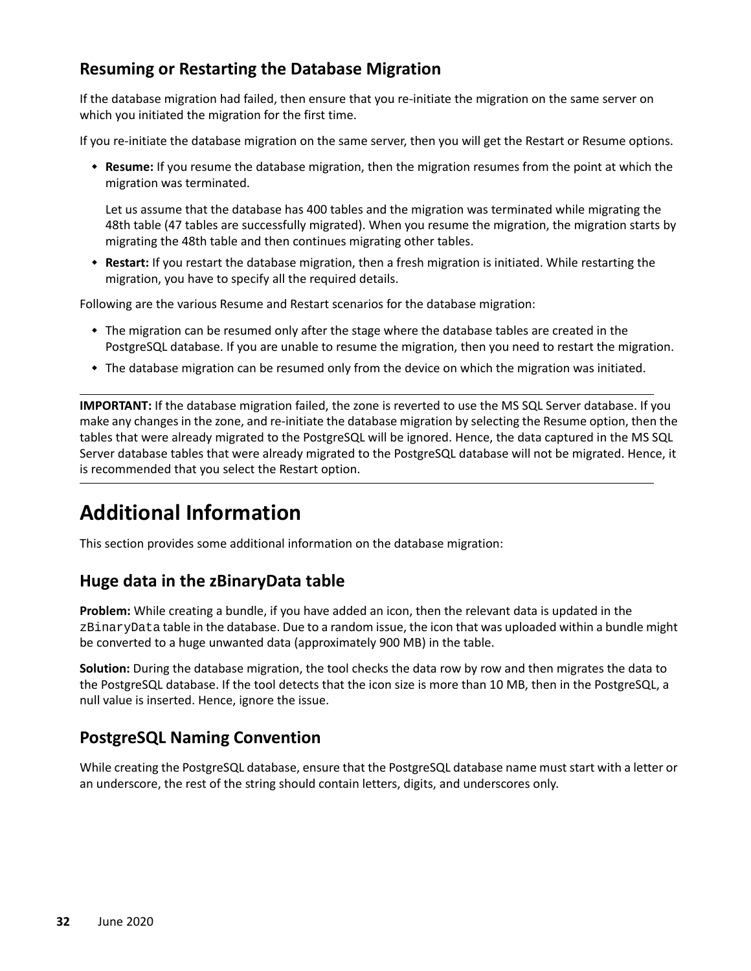# <span id="page-31-0"></span>**Resuming or Restarting the Database Migration**

If the database migration had failed, then ensure that you re-initiate the migration on the same server on which you initiated the migration for the first time.

If you re-initiate the database migration on the same server, then you will get the Restart or Resume options.

 **Resume:** If you resume the database migration, then the migration resumes from the point at which the migration was terminated.

Let us assume that the database has 400 tables and the migration was terminated while migrating the 48th table (47 tables are successfully migrated). When you resume the migration, the migration starts by migrating the 48th table and then continues migrating other tables.

 **Restart:** If you restart the database migration, then a fresh migration is initiated. While restarting the migration, you have to specify all the required details.

Following are the various Resume and Restart scenarios for the database migration:

- The migration can be resumed only after the stage where the database tables are created in the PostgreSQL database. If you are unable to resume the migration, then you need to restart the migration.
- The database migration can be resumed only from the device on which the migration was initiated.

**IMPORTANT:** If the database migration failed, the zone is reverted to use the MS SQL Server database. If you make any changes in the zone, and re-initiate the database migration by selecting the Resume option, then the tables that were already migrated to the PostgreSQL will be ignored. Hence, the data captured in the MS SQL Server database tables that were already migrated to the PostgreSQL database will not be migrated. Hence, it is recommended that you select the Restart option.

# <span id="page-31-1"></span>**Additional Information**

This section provides some additional information on the database migration:

## **Huge data in the zBinaryData table**

**Problem:** While creating a bundle, if you have added an icon, then the relevant data is updated in the zBinaryData table in the database. Due to a random issue, the icon that was uploaded within a bundle might be converted to a huge unwanted data (approximately 900 MB) in the table.

**Solution:** During the database migration, the tool checks the data row by row and then migrates the data to the PostgreSQL database. If the tool detects that the icon size is more than 10 MB, then in the PostgreSQL, a null value is inserted. Hence, ignore the issue.

## <span id="page-31-2"></span>**PostgreSQL Naming Convention**

While creating the PostgreSQL database, ensure that the PostgreSQL database name must start with a letter or an underscore, the rest of the string should contain letters, digits, and underscores only.